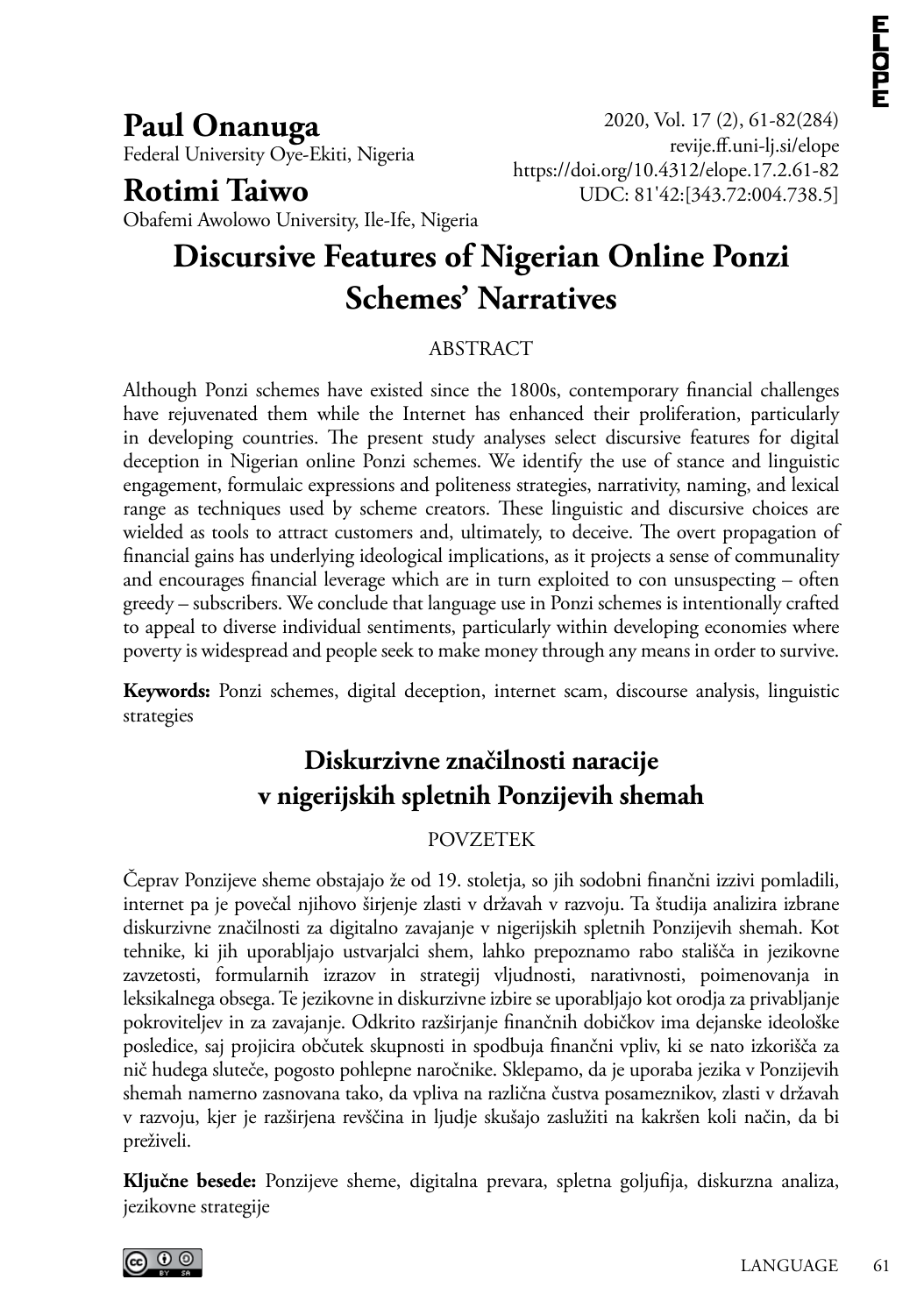**Paul Onanuga** Federal University Oye-Ekiti, Nigeria

## **Rotimi Taiwo**

2020, Vol. 17 (2), 61-82(284) <revije.ff.uni><-lj.si/elope> https://doi.org/10.431[2/elope](10.4312/elope).17.2.61-82 UDC: 81'42:[343.72:004.738.5]

Obafemi Awolowo University, Ile-Ife, Nigeria

# **Discursive Features of Nigerian Online Ponzi Schemes' Narratives**

#### ABSTRACT

Although Ponzi schemes have existed since the 1800s, contemporary financial challenges have rejuvenated them while the Internet has enhanced their proliferation, particularly in developing countries. The present study analyses select discursive features for digital deception in Nigerian online Ponzi schemes. We identify the use of stance and linguistic engagement, formulaic expressions and politeness strategies, narrativity, naming, and lexical range as techniques used by scheme creators. These linguistic and discursive choices are wielded as tools to attract customers and, ultimately, to deceive. The overt propagation of financial gains has underlying ideological implications, as it projects a sense of communality and encourages financial leverage which are in turn exploited to con unsuspecting – often greedy – subscribers. We conclude that language use in Ponzi schemes is intentionally crafted to appeal to diverse individual sentiments, particularly within developing economies where poverty is widespread and people seek to make money through any means in order to survive.

**Keywords:** Ponzi schemes, digital deception, internet scam, discourse analysis, linguistic strategies

## **Diskurzivne značilnosti naracije v nigerijskih spletnih Ponzijevih shemah**

#### POVZETEK

Čeprav Ponzijeve sheme obstajajo že od 19. stoletja, so jih sodobni finančni izzivi pomladili, internet pa je povečal njihovo širjenje zlasti v državah v razvoju. Ta študija analizira izbrane diskurzivne značilnosti za digitalno zavajanje v nigerijskih spletnih Ponzijevih shemah. Kot tehnike, ki jih uporabljajo ustvarjalci shem, lahko prepoznamo rabo stališča in jezikovne zavzetosti, formularnih izrazov in strategij vljudnosti, narativnosti, poimenovanja in leksikalnega obsega. Te jezikovne in diskurzivne izbire se uporabljajo kot orodja za privabljanje pokroviteljev in za zavajanje. Odkrito razširjanje finančnih dobičkov ima dejanske ideološke posledice, saj projicira občutek skupnosti in spodbuja finančni vpliv, ki se nato izkorišča za nič hudega sluteče, pogosto pohlepne naročnike. Sklepamo, da je uporaba jezika v Ponzijevih shemah namerno zasnovana tako, da vpliva na različna čustva posameznikov, zlasti v državah v razvoju, kjer je razširjena revščina in ljudje skušajo zaslužiti na kakršen koli način, da bi preživeli.

**Ključne besede:** Ponzijeve sheme, digitalna prevara, spletna goljufija, diskurzna analiza, jezikovne strategije

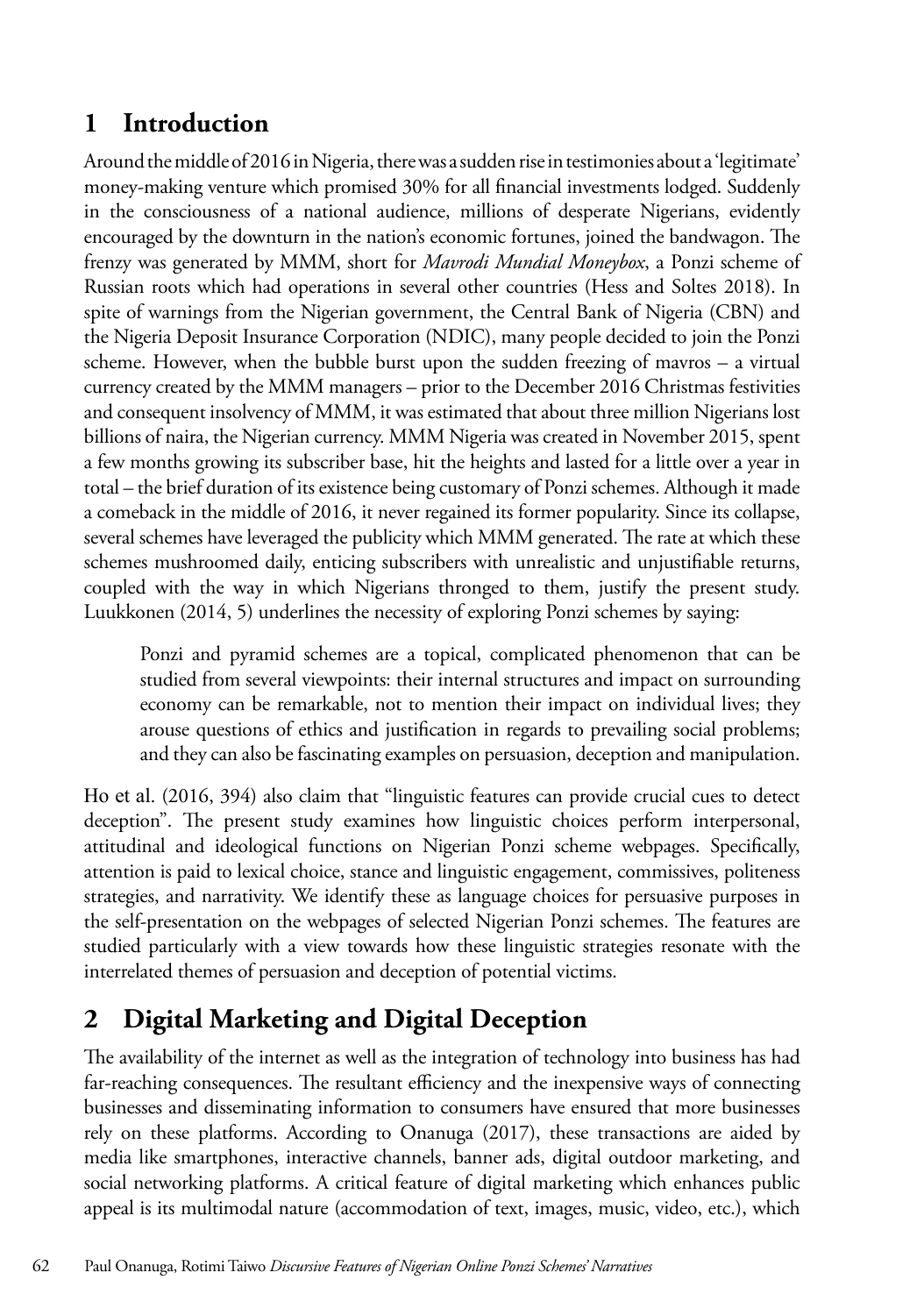## **1 Introduction**

Around the middle of 2016 in Nigeria, there was a sudden rise in testimonies about a 'legitimate' money-making venture which promised 30% for all financial investments lodged. Suddenly in the consciousness of a national audience, millions of desperate Nigerians, evidently encouraged by the downturn in the nation's economic fortunes, joined the bandwagon. The frenzy was generated by MMM, short for *Mavrodi Mundial Moneybox*, a Ponzi scheme of Russian roots which had operations in several other countries (Hess and Soltes 2018). In spite of warnings from the Nigerian government, the Central Bank of Nigeria (CBN) and the Nigeria Deposit Insurance Corporation (NDIC), many people decided to join the Ponzi scheme. However, when the bubble burst upon the sudden freezing of mavros – a virtual currency created by the MMM managers – prior to the December 2016 Christmas festivities and consequent insolvency of MMM, it was estimated that about three million Nigerians lost billions of naira, the Nigerian currency. MMM Nigeria was created in November 2015, spent a few months growing its subscriber base, hit the heights and lasted for a little over a year in total – the brief duration of its existence being customary of Ponzi schemes. Although it made a comeback in the middle of 2016, it never regained its former popularity. Since its collapse, several schemes have leveraged the publicity which MMM generated. The rate at which these schemes mushroomed daily, enticing subscribers with unrealistic and unjustifiable returns, coupled with the way in which Nigerians thronged to them, justify the present study. Luukkonen (2014, 5) underlines the necessity of exploring Ponzi schemes by saying:

Ponzi and pyramid schemes are a topical, complicated phenomenon that can be studied from several viewpoints: their internal structures and impact on surrounding economy can be remarkable, not to mention their impact on individual lives; they arouse questions of ethics and justification in regards to prevailing social problems; and they can also be fascinating examples on persuasion, deception and manipulation.

Ho et al. (2016, 394) also claim that "linguistic features can provide crucial cues to detect deception". The present study examines how linguistic choices perform interpersonal, attitudinal and ideological functions on Nigerian Ponzi scheme webpages. Specifically, attention is paid to lexical choice, stance and linguistic engagement, commissives, politeness strategies, and narrativity. We identify these as language choices for persuasive purposes in the self-presentation on the webpages of selected Nigerian Ponzi schemes. The features are studied particularly with a view towards how these linguistic strategies resonate with the interrelated themes of persuasion and deception of potential victims.

## **2 Digital Marketing and Digital Deception**

The availability of the internet as well as the integration of technology into business has had far-reaching consequences. The resultant efficiency and the inexpensive ways of connecting businesses and disseminating information to consumers have ensured that more businesses rely on these platforms. According to Onanuga (2017), these transactions are aided by media like smartphones, interactive channels, banner ads, digital outdoor marketing, and social networking platforms. A critical feature of digital marketing which enhances public appeal is its multimodal nature (accommodation of text, images, music, video, etc.), which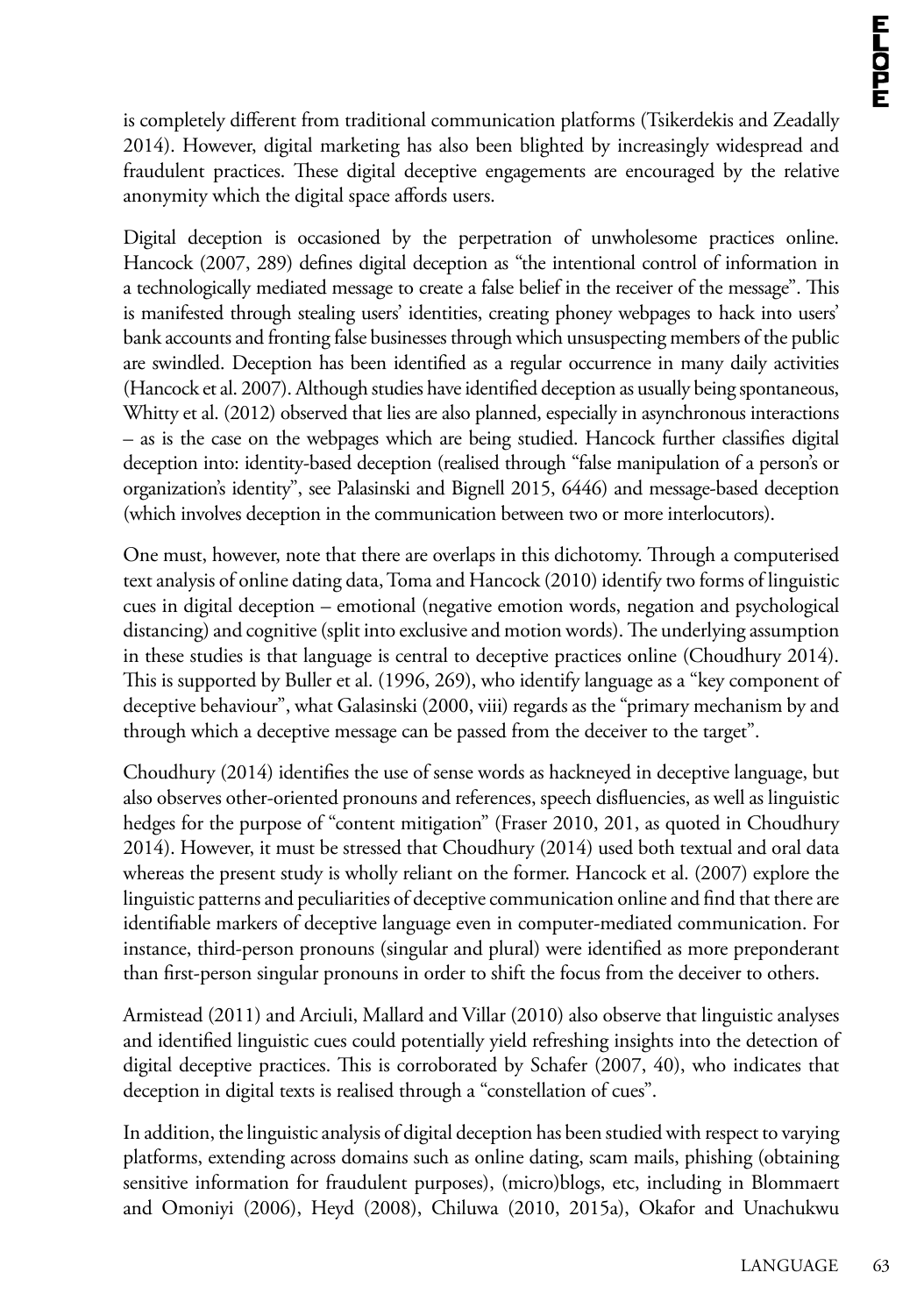is completely different from traditional communication platforms (Tsikerdekis and Zeadally 2014). However, digital marketing has also been blighted by increasingly widespread and fraudulent practices. These digital deceptive engagements are encouraged by the relative anonymity which the digital space affords users.

Digital deception is occasioned by the perpetration of unwholesome practices online. Hancock (2007, 289) defines digital deception as "the intentional control of information in a technologically mediated message to create a false belief in the receiver of the message". This is manifested through stealing users' identities, creating phoney webpages to hack into users' bank accounts and fronting false businesses through which unsuspecting members of the public are swindled. Deception has been identified as a regular occurrence in many daily activities (Hancock et al. 2007). Although studies have identified deception as usually being spontaneous, Whitty et al. (2012) observed that lies are also planned, especially in asynchronous interactions – as is the case on the webpages which are being studied. Hancock further classifies digital deception into: identity-based deception (realised through "false manipulation of a person's or organization's identity", see Palasinski and Bignell 2015, 6446) and message-based deception (which involves deception in the communication between two or more interlocutors).

One must, however, note that there are overlaps in this dichotomy. Through a computerised text analysis of online dating data, Toma and Hancock (2010) identify two forms of linguistic cues in digital deception – emotional (negative emotion words, negation and psychological distancing) and cognitive (split into exclusive and motion words). The underlying assumption in these studies is that language is central to deceptive practices online (Choudhury 2014). This is supported by Buller et al. (1996, 269), who identify language as a "key component of deceptive behaviour", what Galasinski (2000, viii) regards as the "primary mechanism by and through which a deceptive message can be passed from the deceiver to the target".

Choudhury (2014) identifies the use of sense words as hackneyed in deceptive language, but also observes other-oriented pronouns and references, speech disfluencies, as well as linguistic hedges for the purpose of "content mitigation" (Fraser 2010, 201, as quoted in Choudhury 2014). However, it must be stressed that Choudhury (2014) used both textual and oral data whereas the present study is wholly reliant on the former. Hancock et al. (2007) explore the linguistic patterns and peculiarities of deceptive communication online and find that there are identifiable markers of deceptive language even in computer-mediated communication. For instance, third-person pronouns (singular and plural) were identified as more preponderant than first-person singular pronouns in order to shift the focus from the deceiver to others.

Armistead (2011) and Arciuli, Mallard and Villar (2010) also observe that linguistic analyses and identified linguistic cues could potentially yield refreshing insights into the detection of digital deceptive practices. This is corroborated by Schafer (2007, 40), who indicates that deception in digital texts is realised through a "constellation of cues".

In addition, the linguistic analysis of digital deception has been studied with respect to varying platforms, extending across domains such as online dating, scam mails, phishing (obtaining sensitive information for fraudulent purposes), (micro)blogs, etc, including in Blommaert and Omoniyi (2006), Heyd (2008), Chiluwa (2010, 2015a), Okafor and Unachukwu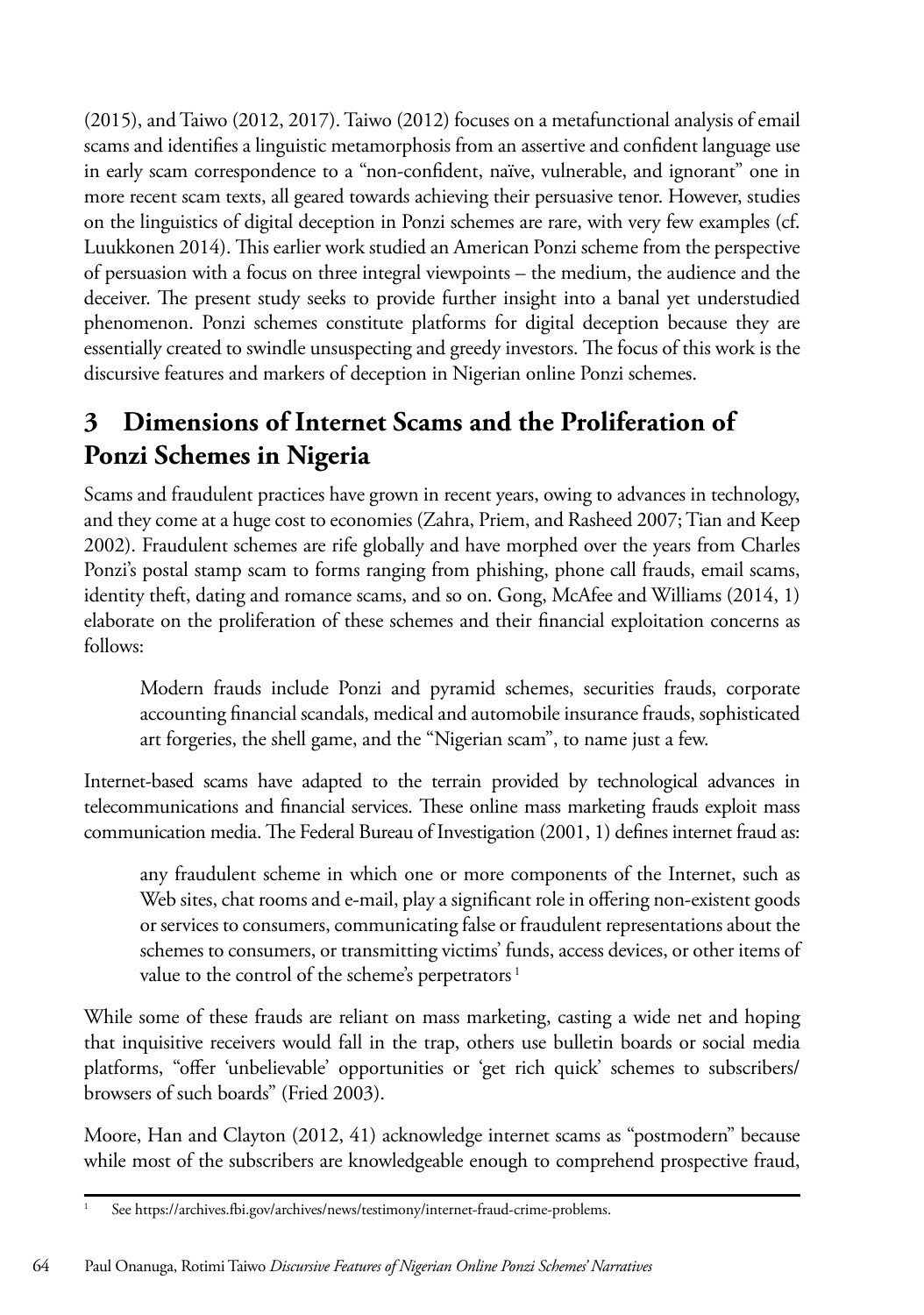(2015), and Taiwo (2012, 2017). Taiwo (2012) focuses on a metafunctional analysis of email scams and identifies a linguistic metamorphosis from an assertive and confident language use in early scam correspondence to a "non-confident, naïve, vulnerable, and ignorant" one in more recent scam texts, all geared towards achieving their persuasive tenor. However, studies on the linguistics of digital deception in Ponzi schemes are rare, with very few examples (cf. Luukkonen 2014). This earlier work studied an American Ponzi scheme from the perspective of persuasion with a focus on three integral viewpoints – the medium, the audience and the deceiver. The present study seeks to provide further insight into a banal yet understudied phenomenon. Ponzi schemes constitute platforms for digital deception because they are essentially created to swindle unsuspecting and greedy investors. The focus of this work is the discursive features and markers of deception in Nigerian online Ponzi schemes.

## **3 Dimensions of Internet Scams and the Proliferation of Ponzi Schemes in Nigeria**

Scams and fraudulent practices have grown in recent years, owing to advances in technology, and they come at a huge cost to economies (Zahra, Priem, and Rasheed 2007; Tian and Keep 2002). Fraudulent schemes are rife globally and have morphed over the years from Charles Ponzi's postal stamp scam to forms ranging from phishing, phone call frauds, email scams, identity theft, dating and romance scams, and so on. Gong, McAfee and Williams (2014, 1) elaborate on the proliferation of these schemes and their financial exploitation concerns as follows:

Modern frauds include Ponzi and pyramid schemes, securities frauds, corporate accounting financial scandals, medical and automobile insurance frauds, sophisticated art forgeries, the shell game, and the "Nigerian scam", to name just a few.

Internet-based scams have adapted to the terrain provided by technological advances in telecommunications and financial services. These online mass marketing frauds exploit mass communication media. The Federal Bureau of Investigation (2001, 1) defines internet fraud as:

any fraudulent scheme in which one or more components of the Internet, such as Web sites, chat rooms and e-mail, play a significant role in offering non-existent goods or services to consumers, communicating false or fraudulent representations about the schemes to consumers, or transmitting victims' funds, access devices, or other items of value to the control of the scheme's perpetrators<sup>1</sup>

While some of these frauds are reliant on mass marketing, casting a wide net and hoping that inquisitive receivers would fall in the trap, others use bulletin boards or social media platforms, "offer 'unbelievable' opportunities or 'get rich quick' schemes to subscribers/ browsers of such boards" (Fried 2003).

Moore, Han and Clayton (2012, 41) acknowledge internet scams as "postmodern" because while most of the subscribers are knowledgeable enough to comprehend prospective fraud,

See https://archives.fbi.gov/archives/news/testimony/internet-fraud-crime-problems.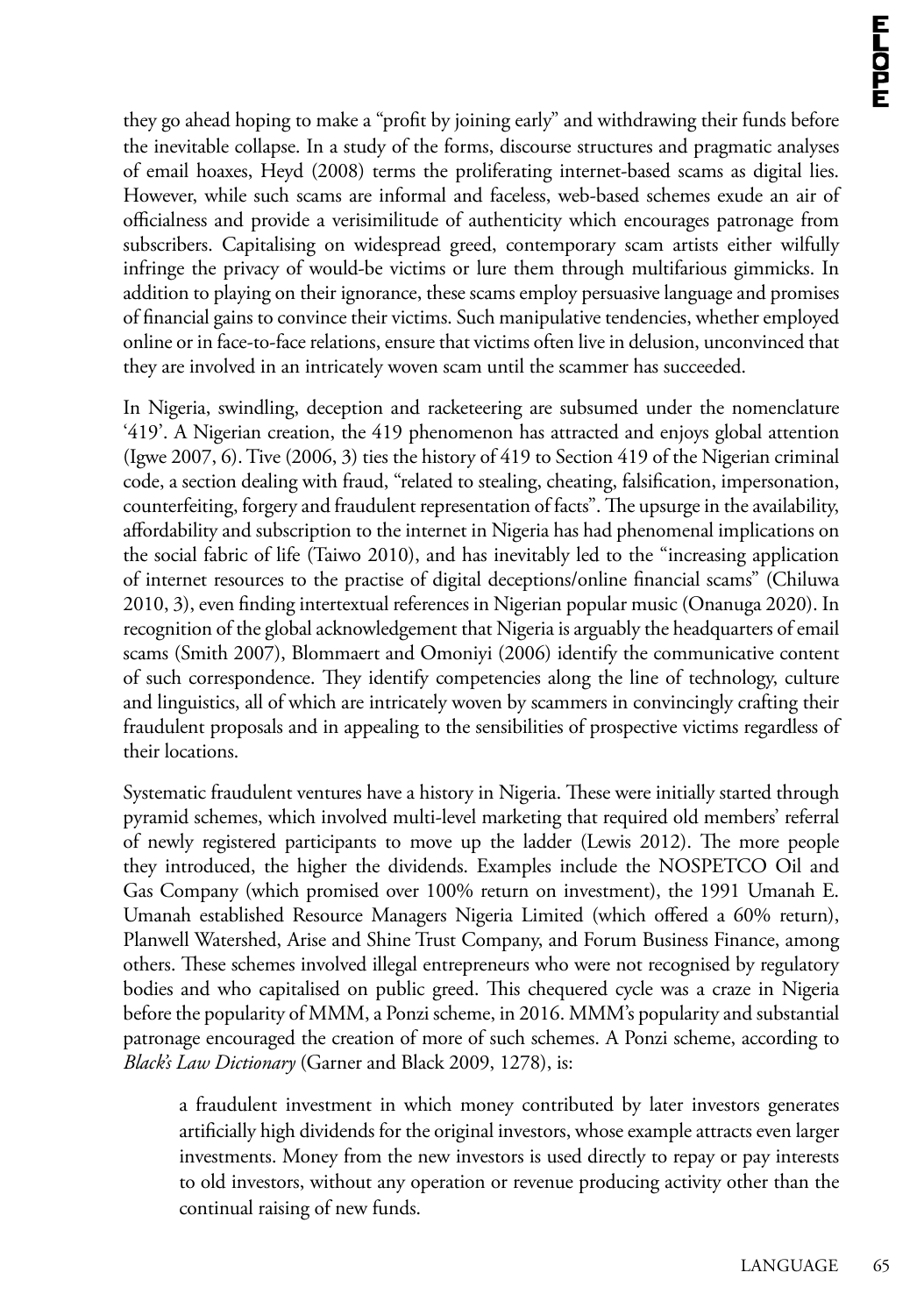they go ahead hoping to make a "profit by joining early" and withdrawing their funds before the inevitable collapse. In a study of the forms, discourse structures and pragmatic analyses of email hoaxes, Heyd (2008) terms the proliferating internet-based scams as digital lies. However, while such scams are informal and faceless, web-based schemes exude an air of officialness and provide a verisimilitude of authenticity which encourages patronage from subscribers. Capitalising on widespread greed, contemporary scam artists either wilfully infringe the privacy of would-be victims or lure them through multifarious gimmicks. In addition to playing on their ignorance, these scams employ persuasive language and promises of financial gains to convince their victims. Such manipulative tendencies, whether employed online or in face-to-face relations, ensure that victims often live in delusion, unconvinced that they are involved in an intricately woven scam until the scammer has succeeded.

In Nigeria, swindling, deception and racketeering are subsumed under the nomenclature '419'. A Nigerian creation, the 419 phenomenon has attracted and enjoys global attention (Igwe 2007, 6). Tive (2006, 3) ties the history of 419 to Section 419 of the Nigerian criminal code, a section dealing with fraud, "related to stealing, cheating, falsification, impersonation, counterfeiting, forgery and fraudulent representation of facts". The upsurge in the availability, affordability and subscription to the internet in Nigeria has had phenomenal implications on the social fabric of life (Taiwo 2010), and has inevitably led to the "increasing application of internet resources to the practise of digital deceptions/online financial scams" (Chiluwa 2010, 3), even finding intertextual references in Nigerian popular music (Onanuga 2020). In recognition of the global acknowledgement that Nigeria is arguably the headquarters of email scams (Smith 2007), Blommaert and Omoniyi (2006) identify the communicative content of such correspondence. They identify competencies along the line of technology, culture and linguistics, all of which are intricately woven by scammers in convincingly crafting their fraudulent proposals and in appealing to the sensibilities of prospective victims regardless of their locations.

Systematic fraudulent ventures have a history in Nigeria. These were initially started through pyramid schemes, which involved multi-level marketing that required old members' referral of newly registered participants to move up the ladder (Lewis 2012). The more people they introduced, the higher the dividends. Examples include the NOSPETCO Oil and Gas Company (which promised over 100% return on investment), the 1991 Umanah E. Umanah established Resource Managers Nigeria Limited (which offered a 60% return), Planwell Watershed, Arise and Shine Trust Company, and Forum Business Finance, among others. These schemes involved illegal entrepreneurs who were not recognised by regulatory bodies and who capitalised on public greed. This chequered cycle was a craze in Nigeria before the popularity of MMM, a Ponzi scheme, in 2016. MMM's popularity and substantial patronage encouraged the creation of more of such schemes. A Ponzi scheme, according to *Black's Law Dictionary* (Garner and Black 2009, 1278), is:

a fraudulent investment in which money contributed by later investors generates artificially high dividends for the original investors, whose example attracts even larger investments. Money from the new investors is used directly to repay or pay interests to old investors, without any operation or revenue producing activity other than the continual raising of new funds.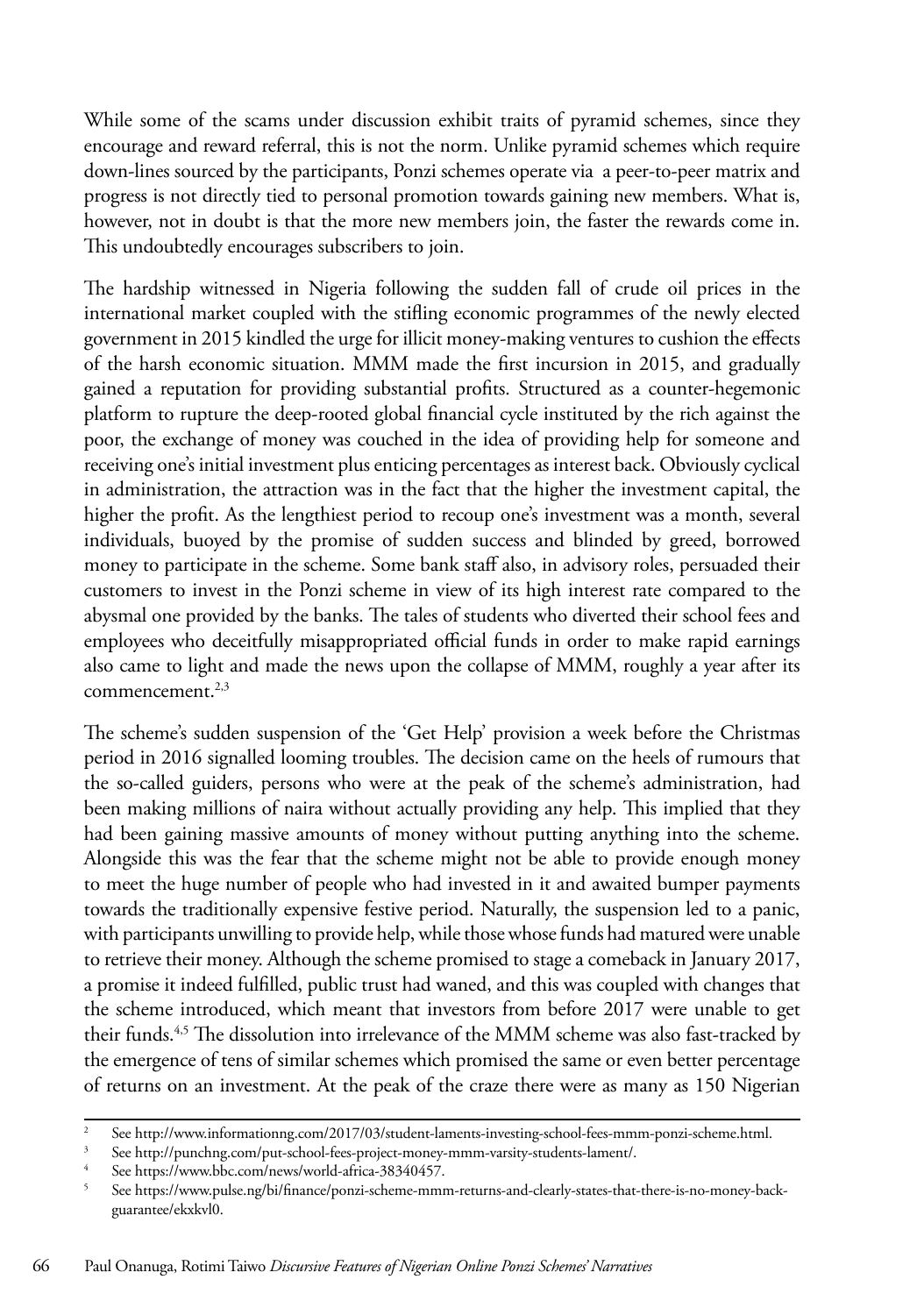While some of the scams under discussion exhibit traits of pyramid schemes, since they encourage and reward referral, this is not the norm. Unlike pyramid schemes which require down-lines sourced by the participants, Ponzi schemes operate via a peer-to-peer matrix and progress is not directly tied to personal promotion towards gaining new members. What is, however, not in doubt is that the more new members join, the faster the rewards come in. This undoubtedly encourages subscribers to join.

The hardship witnessed in Nigeria following the sudden fall of crude oil prices in the international market coupled with the stifling economic programmes of the newly elected government in 2015 kindled the urge for illicit money-making ventures to cushion the effects of the harsh economic situation. MMM made the first incursion in 2015, and gradually gained a reputation for providing substantial profits. Structured as a counter-hegemonic platform to rupture the deep-rooted global financial cycle instituted by the rich against the poor, the exchange of money was couched in the idea of providing help for someone and receiving one's initial investment plus enticing percentages as interest back. Obviously cyclical in administration, the attraction was in the fact that the higher the investment capital, the higher the profit. As the lengthiest period to recoup one's investment was a month, several individuals, buoyed by the promise of sudden success and blinded by greed, borrowed money to participate in the scheme. Some bank staff also, in advisory roles, persuaded their customers to invest in the Ponzi scheme in view of its high interest rate compared to the abysmal one provided by the banks. The tales of students who diverted their school fees and employees who deceitfully misappropriated official funds in order to make rapid earnings also came to light and made the news upon the collapse of MMM, roughly a year after its  $commence$ ment.<sup>2,3</sup>

The scheme's sudden suspension of the 'Get Help' provision a week before the Christmas period in 2016 signalled looming troubles. The decision came on the heels of rumours that the so-called guiders, persons who were at the peak of the scheme's administration, had been making millions of naira without actually providing any help. This implied that they had been gaining massive amounts of money without putting anything into the scheme. Alongside this was the fear that the scheme might not be able to provide enough money to meet the huge number of people who had invested in it and awaited bumper payments towards the traditionally expensive festive period. Naturally, the suspension led to a panic, with participants unwilling to provide help, while those whose funds had matured were unable to retrieve their money. Although the scheme promised to stage a comeback in January 2017, a promise it indeed fulfilled, public trust had waned, and this was coupled with changes that the scheme introduced, which meant that investors from before 2017 were unable to get their funds.<sup>4,5</sup> The dissolution into irrelevance of the MMM scheme was also fast-tracked by the emergence of tens of similar schemes which promised the same or even better percentage of returns on an investment. At the peak of the craze there were as many as 150 Nigerian

<sup>2</sup> See http://www.informationng.com/2017/03/student-laments-investing-school-fees-mmm-ponzi-scheme.html.

<sup>3</sup> See http://punchng.com/put-school-fees-project-money-mmm-varsity-students-lament/.

See https://www.bbc.com/news/world-africa-38340457.

<sup>5</sup> See https://www.pulse.ng/bi/finance/ponzi-scheme-mmm-returns-and-clearly-states-that-there-is-no-money-backguarantee/ekxkvl0.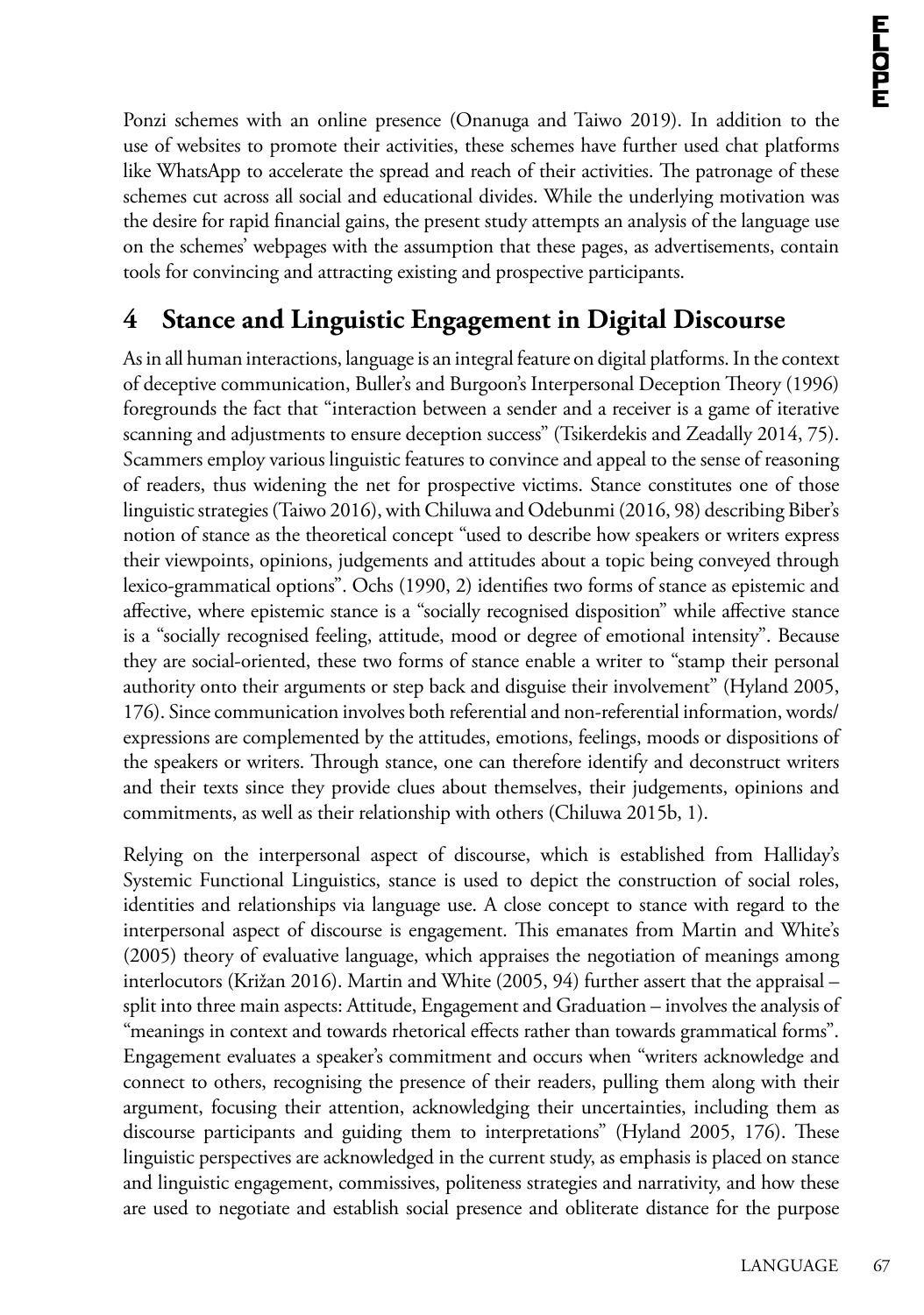Ponzi schemes with an online presence (Onanuga and Taiwo 2019). In addition to the use of websites to promote their activities, these schemes have further used chat platforms like WhatsApp to accelerate the spread and reach of their activities. The patronage of these schemes cut across all social and educational divides. While the underlying motivation was the desire for rapid financial gains, the present study attempts an analysis of the language use on the schemes' webpages with the assumption that these pages, as advertisements, contain tools for convincing and attracting existing and prospective participants.

## **4 Stance and Linguistic Engagement in Digital Discourse**

As in all human interactions, language is an integral feature on digital platforms. In the context of deceptive communication, Buller's and Burgoon's Interpersonal Deception Theory (1996) foregrounds the fact that "interaction between a sender and a receiver is a game of iterative scanning and adjustments to ensure deception success" (Tsikerdekis and Zeadally 2014, 75). Scammers employ various linguistic features to convince and appeal to the sense of reasoning of readers, thus widening the net for prospective victims. Stance constitutes one of those linguistic strategies (Taiwo 2016), with Chiluwa and Odebunmi (2016, 98) describing Biber's notion of stance as the theoretical concept "used to describe how speakers or writers express their viewpoints, opinions, judgements and attitudes about a topic being conveyed through lexico-grammatical options". Ochs (1990, 2) identifies two forms of stance as epistemic and affective, where epistemic stance is a "socially recognised disposition" while affective stance is a "socially recognised feeling, attitude, mood or degree of emotional intensity". Because they are social-oriented, these two forms of stance enable a writer to "stamp their personal authority onto their arguments or step back and disguise their involvement" (Hyland 2005, 176). Since communication involves both referential and non-referential information, words/ expressions are complemented by the attitudes, emotions, feelings, moods or dispositions of the speakers or writers. Through stance, one can therefore identify and deconstruct writers and their texts since they provide clues about themselves, their judgements, opinions and commitments, as well as their relationship with others (Chiluwa 2015b, 1).

Relying on the interpersonal aspect of discourse, which is established from Halliday's Systemic Functional Linguistics, stance is used to depict the construction of social roles, identities and relationships via language use. A close concept to stance with regard to the interpersonal aspect of discourse is engagement. This emanates from Martin and White's (2005) theory of evaluative language, which appraises the negotiation of meanings among interlocutors (Križan 2016). Martin and White (2005, 94) further assert that the appraisal – split into three main aspects: Attitude, Engagement and Graduation – involves the analysis of "meanings in context and towards rhetorical effects rather than towards grammatical forms". Engagement evaluates a speaker's commitment and occurs when "writers acknowledge and connect to others, recognising the presence of their readers, pulling them along with their argument, focusing their attention, acknowledging their uncertainties, including them as discourse participants and guiding them to interpretations" (Hyland 2005, 176). These linguistic perspectives are acknowledged in the current study, as emphasis is placed on stance and linguistic engagement, commissives, politeness strategies and narrativity, and how these are used to negotiate and establish social presence and obliterate distance for the purpose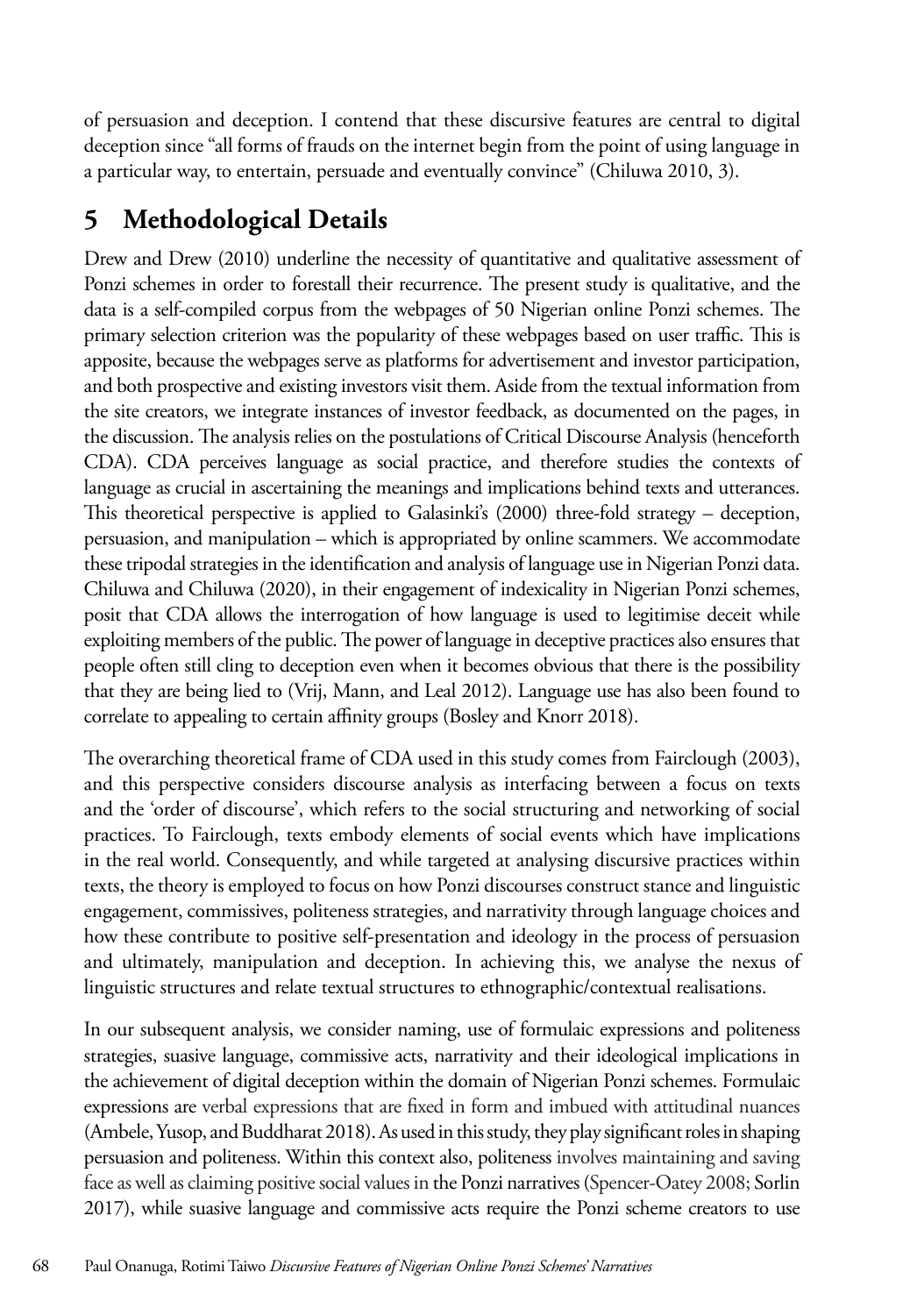of persuasion and deception. I contend that these discursive features are central to digital deception since "all forms of frauds on the internet begin from the point of using language in a particular way, to entertain, persuade and eventually convince" (Chiluwa 2010, 3).

## **5 Methodological Details**

Drew and Drew (2010) underline the necessity of quantitative and qualitative assessment of Ponzi schemes in order to forestall their recurrence. The present study is qualitative, and the data is a self-compiled corpus from the webpages of 50 Nigerian online Ponzi schemes. The primary selection criterion was the popularity of these webpages based on user traffic. This is apposite, because the webpages serve as platforms for advertisement and investor participation, and both prospective and existing investors visit them. Aside from the textual information from the site creators, we integrate instances of investor feedback, as documented on the pages, in the discussion. The analysis relies on the postulations of Critical Discourse Analysis (henceforth CDA). CDA perceives language as social practice, and therefore studies the contexts of language as crucial in ascertaining the meanings and implications behind texts and utterances. This theoretical perspective is applied to Galasinki's (2000) three-fold strategy – deception, persuasion, and manipulation – which is appropriated by online scammers. We accommodate these tripodal strategies in the identification and analysis of language use in Nigerian Ponzi data. Chiluwa and Chiluwa (2020), in their engagement of indexicality in Nigerian Ponzi schemes, posit that CDA allows the interrogation of how language is used to legitimise deceit while exploiting members of the public. The power of language in deceptive practices also ensures that people often still cling to deception even when it becomes obvious that there is the possibility that they are being lied to (Vrij, Mann, and Leal 2012). Language use has also been found to correlate to appealing to certain affinity groups (Bosley and Knorr 2018).

The overarching theoretical frame of CDA used in this study comes from Fairclough (2003), and this perspective considers discourse analysis as interfacing between a focus on texts and the 'order of discourse', which refers to the social structuring and networking of social practices. To Fairclough, texts embody elements of social events which have implications in the real world. Consequently, and while targeted at analysing discursive practices within texts, the theory is employed to focus on how Ponzi discourses construct stance and linguistic engagement, commissives, politeness strategies, and narrativity through language choices and how these contribute to positive self-presentation and ideology in the process of persuasion and ultimately, manipulation and deception. In achieving this, we analyse the nexus of linguistic structures and relate textual structures to ethnographic/contextual realisations.

In our subsequent analysis, we consider naming, use of formulaic expressions and politeness strategies, suasive language, commissive acts, narrativity and their ideological implications in the achievement of digital deception within the domain of Nigerian Ponzi schemes. Formulaic expressions are verbal expressions that are fixed in form and imbued with attitudinal nuances (Ambele, Yusop, and Buddharat 2018). As used in this study, they play significant roles in shaping persuasion and politeness. Within this context also, politeness involves maintaining and saving face as well as claiming positive social values in the Ponzi narratives (Spencer-Oatey 2008; Sorlin 2017), while suasive language and commissive acts require the Ponzi scheme creators to use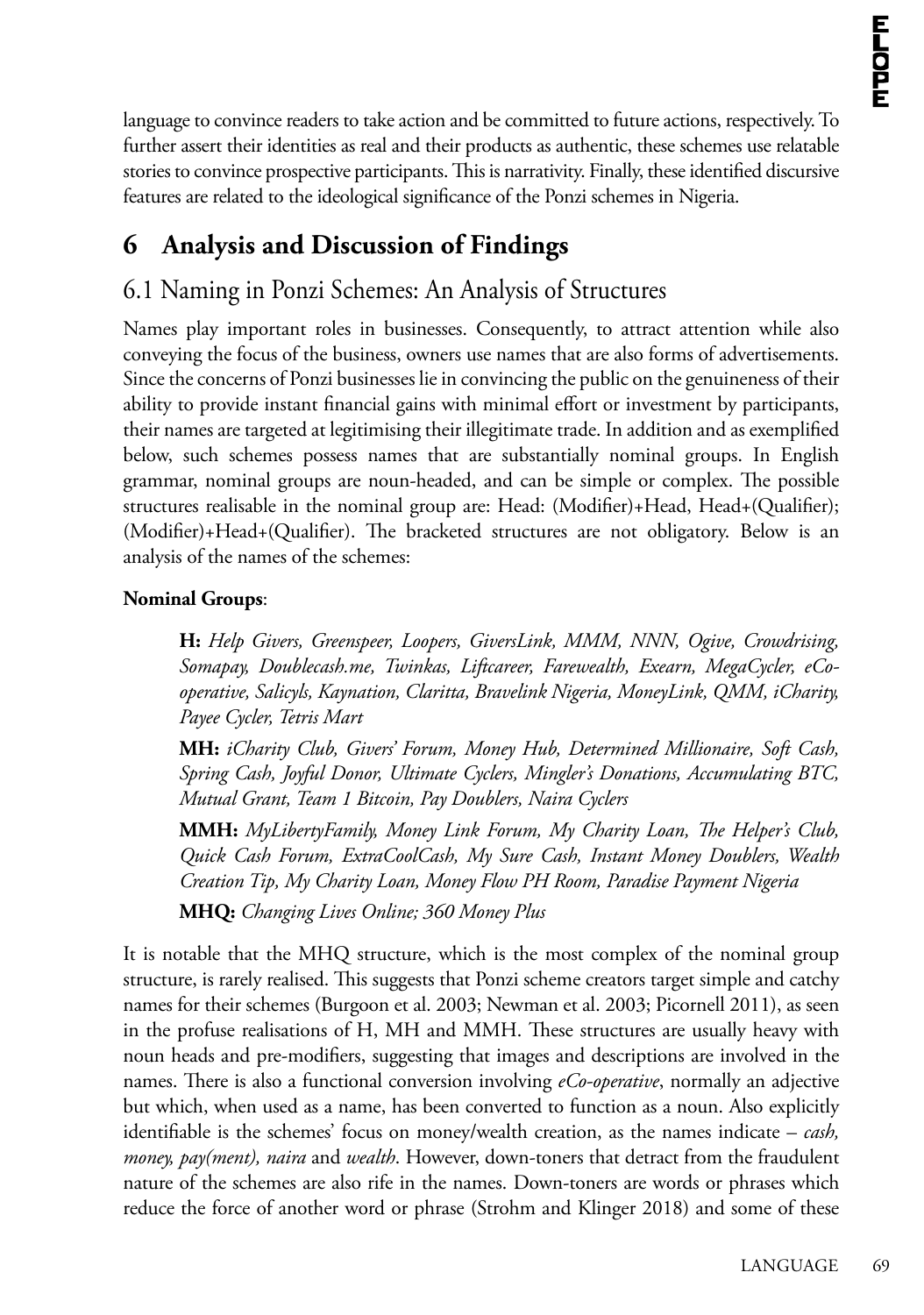language to convince readers to take action and be committed to future actions, respectively. To further assert their identities as real and their products as authentic, these schemes use relatable stories to convince prospective participants. This is narrativity. Finally, these identified discursive features are related to the ideological significance of the Ponzi schemes in Nigeria.

## **6 Analysis and Discussion of Findings**

## 6.1 Naming in Ponzi Schemes: An Analysis of Structures

Names play important roles in businesses. Consequently, to attract attention while also conveying the focus of the business, owners use names that are also forms of advertisements. Since the concerns of Ponzi businesses lie in convincing the public on the genuineness of their ability to provide instant financial gains with minimal effort or investment by participants, their names are targeted at legitimising their illegitimate trade. In addition and as exemplified below, such schemes possess names that are substantially nominal groups. In English grammar, nominal groups are noun-headed, and can be simple or complex. The possible structures realisable in the nominal group are: Head: (Modifier)+Head, Head+(Qualifier); (Modifier)+Head+(Qualifier). The bracketed structures are not obligatory. Below is an analysis of the names of the schemes:

#### **Nominal Groups**:

**H:** *Help Givers, Greenspeer, Loopers, GiversLink, MMM, NNN, Ogive, Crowdrising, Somapay, Doublecash.me, Twinkas, Liftcareer, Farewealth, Exearn, MegaCycler, eCooperative, Salicyls, Kaynation, Claritta, Bravelink Nigeria, MoneyLink, QMM, iCharity, Payee Cycler, Tetris Mart* 

**MH:** *iCharity Club, Givers' Forum, Money Hub, Determined Millionaire, Soft Cash, Spring Cash, Joyful Donor, Ultimate Cyclers, Mingler's Donations, Accumulating BTC, Mutual Grant, Team 1 Bitcoin, Pay Doublers, Naira Cyclers*

**MMH:** *MyLibertyFamily, Money Link Forum, My Charity Loan, The Helper's Club, Quick Cash Forum, ExtraCoolCash, My Sure Cash, Instant Money Doublers, Wealth Creation Tip, My Charity Loan, Money Flow PH Room, Paradise Payment Nigeria*

**MHQ:** *Changing Lives Online; 360 Money Plus*

It is notable that the MHQ structure, which is the most complex of the nominal group structure, is rarely realised. This suggests that Ponzi scheme creators target simple and catchy names for their schemes (Burgoon et al. 2003; Newman et al. 2003; Picornell 2011), as seen in the profuse realisations of H, MH and MMH. These structures are usually heavy with noun heads and pre-modifiers, suggesting that images and descriptions are involved in the names. There is also a functional conversion involving *eCo-operative*, normally an adjective but which, when used as a name, has been converted to function as a noun. Also explicitly identifiable is the schemes' focus on money/wealth creation, as the names indicate – *cash, money, pay(ment), naira* and *wealth*. However, down-toners that detract from the fraudulent nature of the schemes are also rife in the names. Down-toners are words or phrases which reduce the force of another word or phrase (Strohm and Klinger 2018) and some of these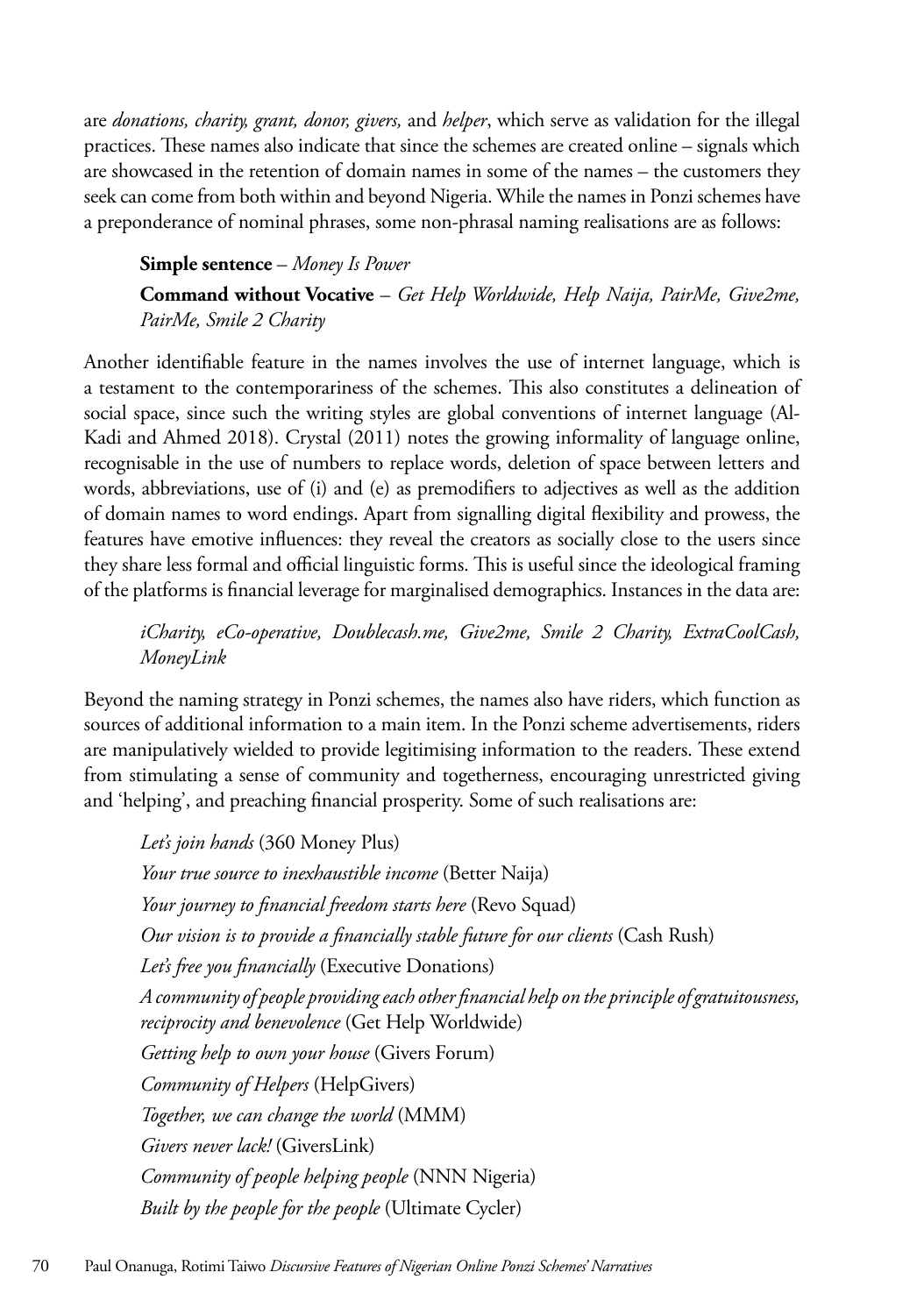are *donations, charity, grant, donor, givers,* and *helper*, which serve as validation for the illegal practices. These names also indicate that since the schemes are created online – signals which are showcased in the retention of domain names in some of the names – the customers they seek can come from both within and beyond Nigeria. While the names in Ponzi schemes have a preponderance of nominal phrases, some non-phrasal naming realisations are as follows:

#### **Simple sentence** – *Money Is Power*

**Command without Vocative** – *Get Help Worldwide, Help Naija, PairMe, Give2me, PairMe, Smile 2 Charity*

Another identifiable feature in the names involves the use of internet language, which is a testament to the contemporariness of the schemes. This also constitutes a delineation of social space, since such the writing styles are global conventions of internet language (Al-Kadi and Ahmed 2018). Crystal (2011) notes the growing informality of language online, recognisable in the use of numbers to replace words, deletion of space between letters and words, abbreviations, use of (i) and (e) as premodifiers to adjectives as well as the addition of domain names to word endings. Apart from signalling digital flexibility and prowess, the features have emotive influences: they reveal the creators as socially close to the users since they share less formal and official linguistic forms. This is useful since the ideological framing of the platforms is financial leverage for marginalised demographics. Instances in the data are:

*iCharity, eCo-operative, Doublecash.me, Give2me, Smile 2 Charity, ExtraCoolCash, MoneyLink*

Beyond the naming strategy in Ponzi schemes, the names also have riders, which function as sources of additional information to a main item. In the Ponzi scheme advertisements, riders are manipulatively wielded to provide legitimising information to the readers. These extend from stimulating a sense of community and togetherness, encouraging unrestricted giving and 'helping', and preaching financial prosperity. Some of such realisations are:

*Let's join hands* (360 Money Plus) *Your true source to inexhaustible income* (Better Naija) *Your journey to financial freedom starts here* (Revo Squad) *Our vision is to provide a financially stable future for our clients* (Cash Rush) *Let's free you financially* (Executive Donations) *A community of people providing each other financial help on the principle of gratuitousness, reciprocity and benevolence* (Get Help Worldwide) *Getting help to own your house* (Givers Forum) *Community of Helpers* (HelpGivers) *Together, we can change the world* (MMM) *Givers never lack!* (GiversLink) *Community of people helping people* (NNN Nigeria) *Built by the people for the people* (Ultimate Cycler)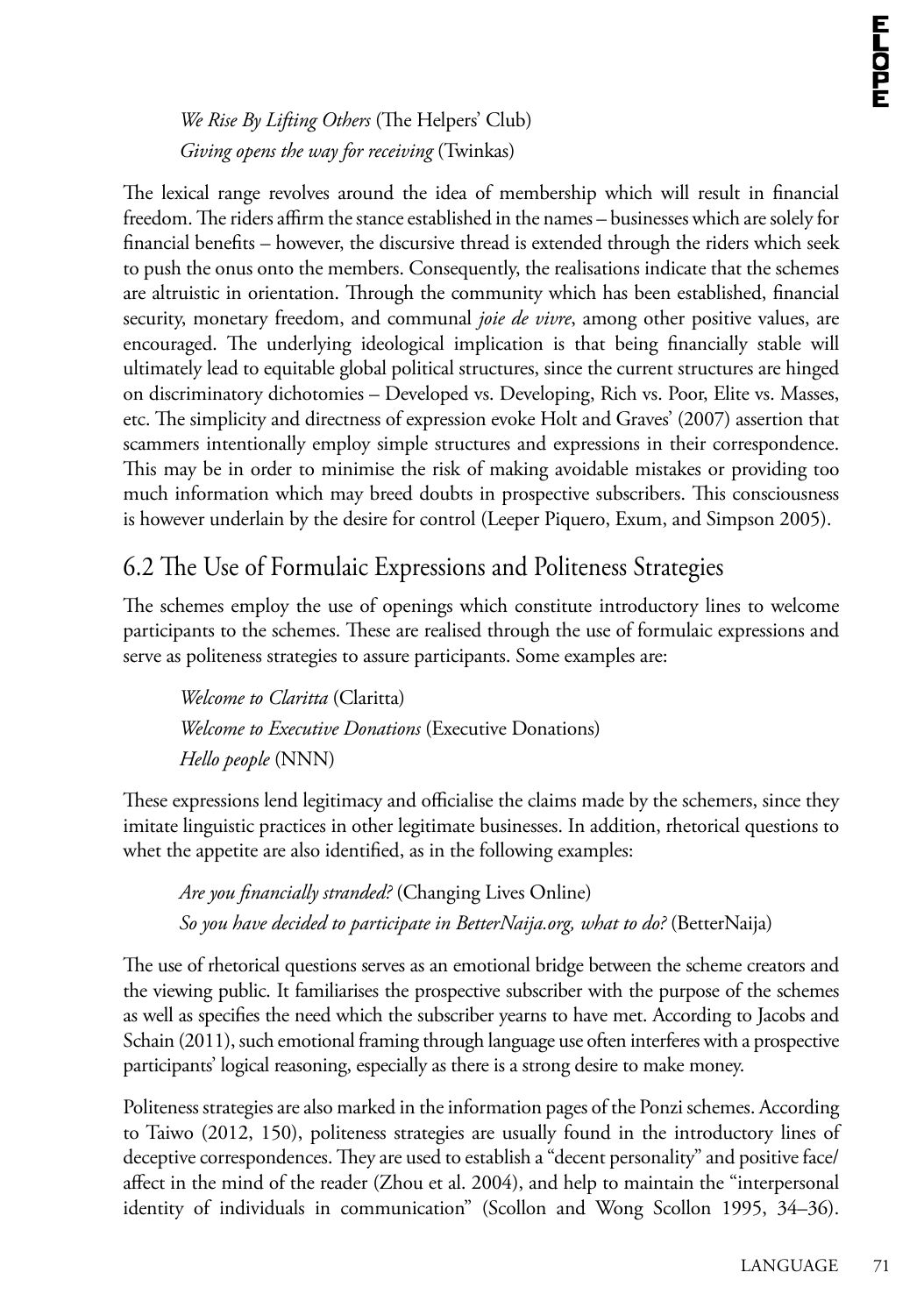*We Rise By Lifting Others* (The Helpers' Club) *Giving opens the way for receiving* (Twinkas)

The lexical range revolves around the idea of membership which will result in financial freedom. The riders affirm the stance established in the names – businesses which are solely for financial benefits – however, the discursive thread is extended through the riders which seek to push the onus onto the members. Consequently, the realisations indicate that the schemes are altruistic in orientation. Through the community which has been established, financial security, monetary freedom, and communal *joie de vivre*, among other positive values, are encouraged. The underlying ideological implication is that being financially stable will ultimately lead to equitable global political structures, since the current structures are hinged on discriminatory dichotomies – Developed vs. Developing, Rich vs. Poor, Elite vs. Masses, etc. The simplicity and directness of expression evoke Holt and Graves' (2007) assertion that scammers intentionally employ simple structures and expressions in their correspondence. This may be in order to minimise the risk of making avoidable mistakes or providing too much information which may breed doubts in prospective subscribers. This consciousness is however underlain by the desire for control (Leeper Piquero, Exum, and Simpson 2005).

### 6.2 The Use of Formulaic Expressions and Politeness Strategies

The schemes employ the use of openings which constitute introductory lines to welcome participants to the schemes. These are realised through the use of formulaic expressions and serve as politeness strategies to assure participants. Some examples are:

*Welcome to Claritta* (Claritta) *Welcome to Executive Donations* (Executive Donations) *Hello people* (NNN)

These expressions lend legitimacy and officialise the claims made by the schemers, since they imitate linguistic practices in other legitimate businesses. In addition, rhetorical questions to whet the appetite are also identified, as in the following examples:

*Are you financially stranded?* (Changing Lives Online) *So you have decided to participate in BetterNaija.org, what to do?* (BetterNaija)

The use of rhetorical questions serves as an emotional bridge between the scheme creators and the viewing public. It familiarises the prospective subscriber with the purpose of the schemes as well as specifies the need which the subscriber yearns to have met. According to Jacobs and Schain (2011), such emotional framing through language use often interferes with a prospective participants' logical reasoning, especially as there is a strong desire to make money.

Politeness strategies are also marked in the information pages of the Ponzi schemes. According to Taiwo (2012, 150), politeness strategies are usually found in the introductory lines of deceptive correspondences. They are used to establish a "decent personality" and positive face/ affect in the mind of the reader (Zhou et al. 2004), and help to maintain the "interpersonal identity of individuals in communication" (Scollon and Wong Scollon 1995, 34–36).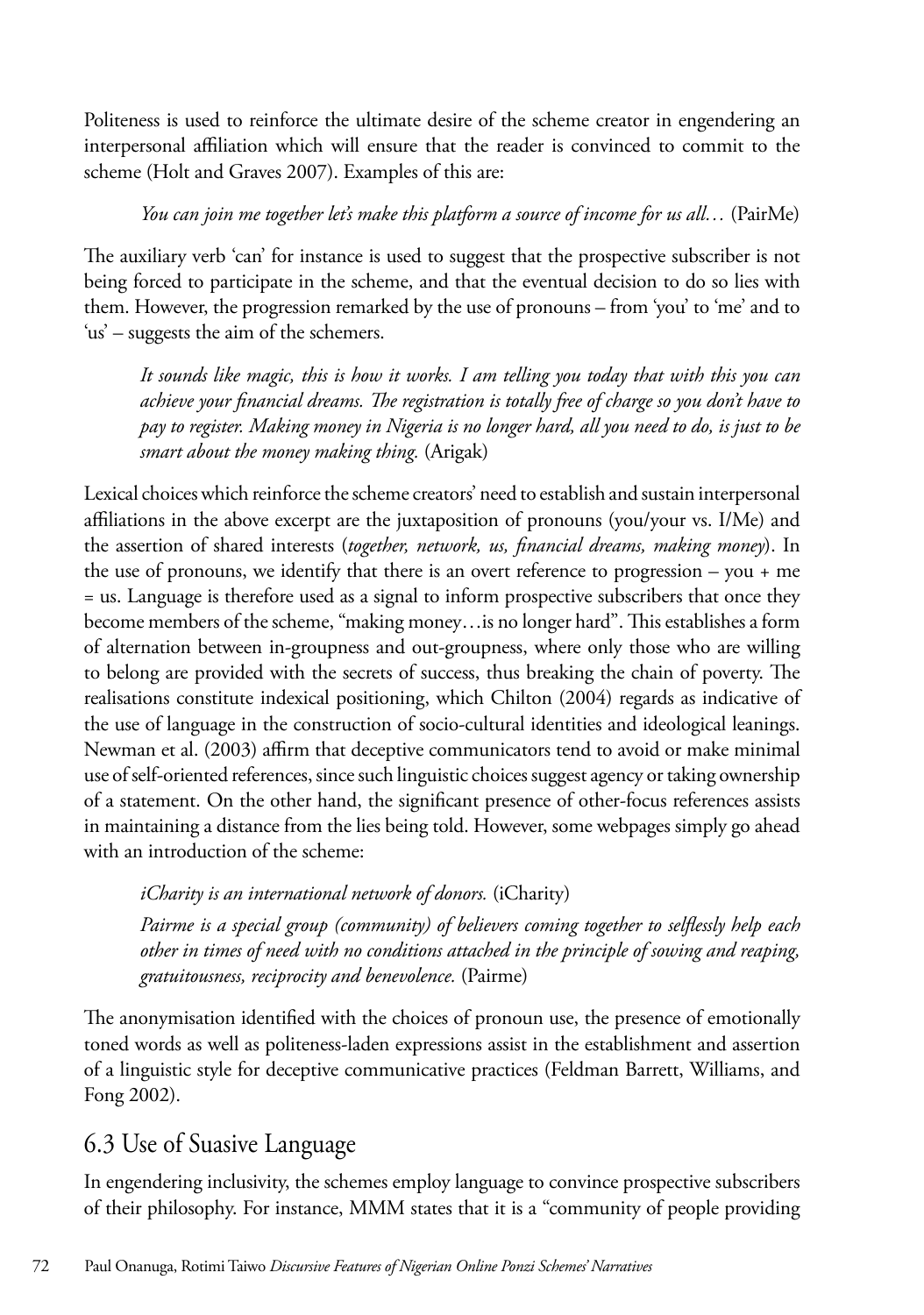Politeness is used to reinforce the ultimate desire of the scheme creator in engendering an interpersonal affiliation which will ensure that the reader is convinced to commit to the scheme (Holt and Graves 2007). Examples of this are:

#### *You can join me together let's make this platform a source of income for us all…* (PairMe)

The auxiliary verb 'can' for instance is used to suggest that the prospective subscriber is not being forced to participate in the scheme, and that the eventual decision to do so lies with them. However, the progression remarked by the use of pronouns – from 'you' to 'me' and to 'us' – suggests the aim of the schemers.

*It sounds like magic, this is how it works. I am telling you today that with this you can achieve your financial dreams. The registration is totally free of charge so you don't have to pay to register. Making money in Nigeria is no longer hard, all you need to do, is just to be smart about the money making thing.* (Arigak)

Lexical choices which reinforce the scheme creators' need to establish and sustain interpersonal affiliations in the above excerpt are the juxtaposition of pronouns (you/your vs. I/Me) and the assertion of shared interests (*together, network, us, financial dreams, making money*). In the use of pronouns, we identify that there is an overt reference to progression – you + me = us. Language is therefore used as a signal to inform prospective subscribers that once they become members of the scheme, "making money…is no longer hard". This establishes a form of alternation between in-groupness and out-groupness, where only those who are willing to belong are provided with the secrets of success, thus breaking the chain of poverty. The realisations constitute indexical positioning, which Chilton (2004) regards as indicative of the use of language in the construction of socio-cultural identities and ideological leanings. Newman et al. (2003) affirm that deceptive communicators tend to avoid or make minimal use of self-oriented references, since such linguistic choices suggest agency or taking ownership of a statement. On the other hand, the significant presence of other-focus references assists in maintaining a distance from the lies being told. However, some webpages simply go ahead with an introduction of the scheme:

*iCharity is an international network of donors.* (iCharity)

*Pairme is a special group (community) of believers coming together to selflessly help each other in times of need with no conditions attached in the principle of sowing and reaping, gratuitousness, reciprocity and benevolence.* (Pairme)

The anonymisation identified with the choices of pronoun use, the presence of emotionally toned words as well as politeness-laden expressions assist in the establishment and assertion of a linguistic style for deceptive communicative practices (Feldman Barrett, Williams, and Fong 2002).

### 6.3 Use of Suasive Language

In engendering inclusivity, the schemes employ language to convince prospective subscribers of their philosophy. For instance, MMM states that it is a "community of people providing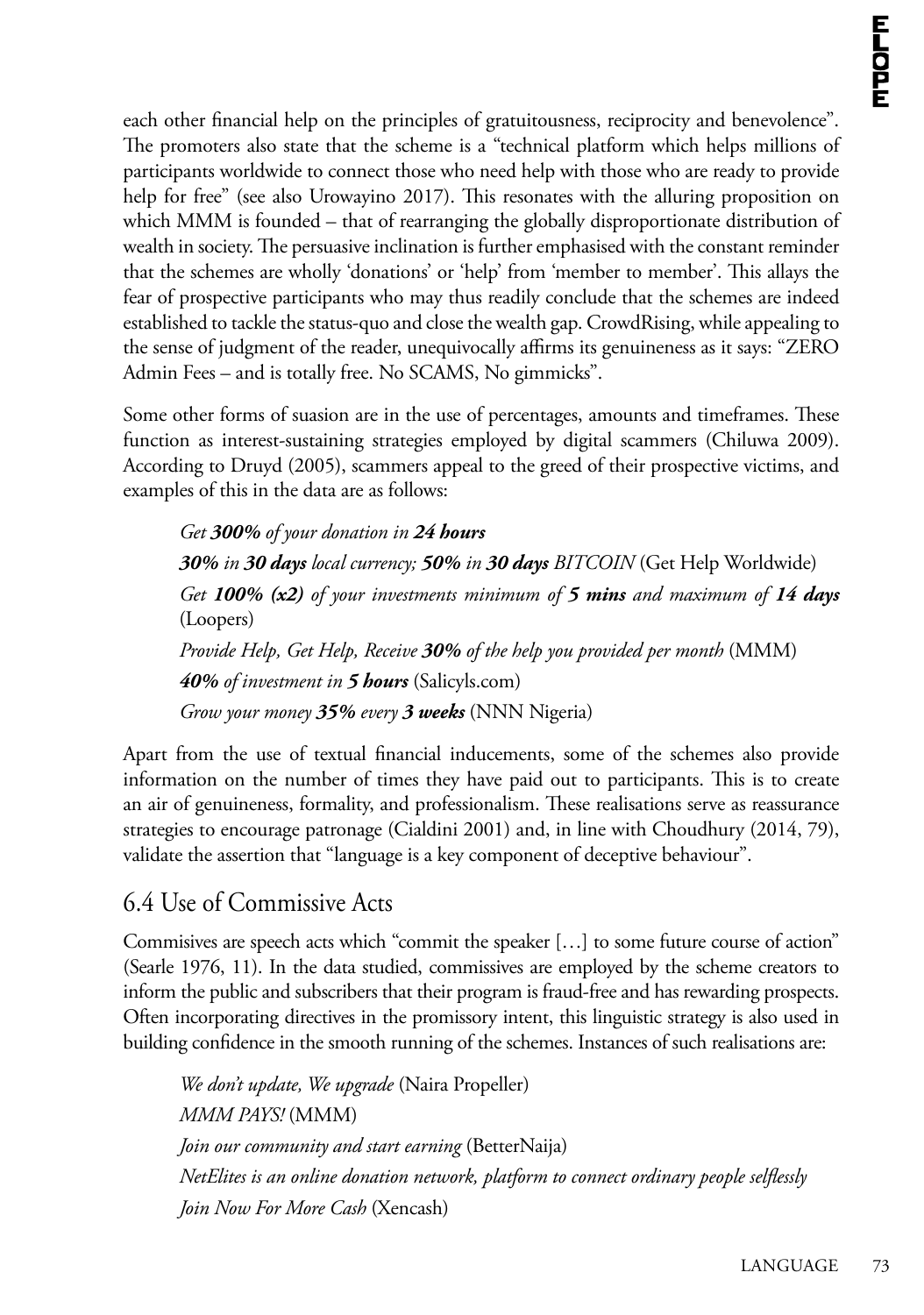each other financial help on the principles of gratuitousness, reciprocity and benevolence". The promoters also state that the scheme is a "technical platform which helps millions of participants worldwide to connect those who need help with those who are ready to provide help for free" (see also Urowayino 2017). This resonates with the alluring proposition on which MMM is founded – that of rearranging the globally disproportionate distribution of wealth in society. The persuasive inclination is further emphasised with the constant reminder that the schemes are wholly 'donations' or 'help' from 'member to member'. This allays the fear of prospective participants who may thus readily conclude that the schemes are indeed established to tackle the status-quo and close the wealth gap. CrowdRising, while appealing to the sense of judgment of the reader, unequivocally affirms its genuineness as it says: "ZERO Admin Fees – and is totally free. No SCAMS, No gimmicks".

Some other forms of suasion are in the use of percentages, amounts and timeframes. These function as interest-sustaining strategies employed by digital scammers (Chiluwa 2009). According to Druyd (2005), scammers appeal to the greed of their prospective victims, and examples of this in the data are as follows:

*Get 300% of your donation in 24 hours 30% in 30 days local currency; 50% in 30 days BITCOIN* (Get Help Worldwide) *Get 100% (x2) of your investments minimum of 5 mins and maximum of 14 days* (Loopers) *Provide Help, Get Help, Receive 30% of the help you provided per month* (MMM) *40% of investment in 5 hours* (Salicyls.com) *Grow your money 35% every 3 weeks* (NNN Nigeria)

Apart from the use of textual financial inducements, some of the schemes also provide information on the number of times they have paid out to participants. This is to create an air of genuineness, formality, and professionalism. These realisations serve as reassurance strategies to encourage patronage (Cialdini 2001) and, in line with Choudhury (2014, 79), validate the assertion that "language is a key component of deceptive behaviour".

### 6.4 Use of Commissive Acts

Commisives are speech acts which "commit the speaker […] to some future course of action" (Searle 1976, 11). In the data studied, commissives are employed by the scheme creators to inform the public and subscribers that their program is fraud-free and has rewarding prospects. Often incorporating directives in the promissory intent, this linguistic strategy is also used in building confidence in the smooth running of the schemes. Instances of such realisations are:

*We don't update, We upgrade* (Naira Propeller) *MMM PAYS!* (MMM) *Join our community and start earning* (BetterNaija) *NetElites is an online donation network, platform to connect ordinary people selflessly Join Now For More Cash* (Xencash)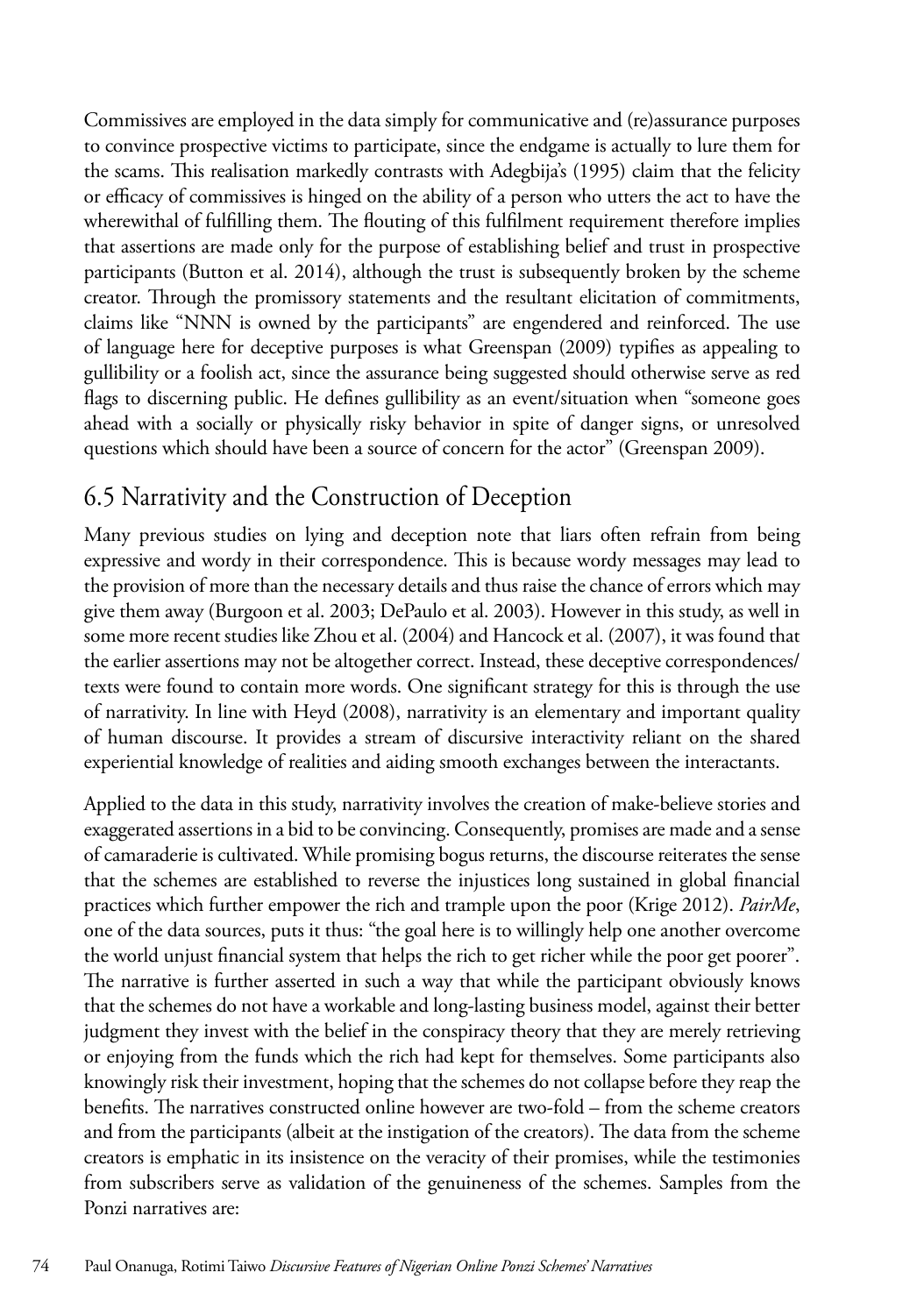Commissives are employed in the data simply for communicative and (re)assurance purposes to convince prospective victims to participate, since the endgame is actually to lure them for the scams. This realisation markedly contrasts with Adegbija's (1995) claim that the felicity or efficacy of commissives is hinged on the ability of a person who utters the act to have the wherewithal of fulfilling them. The flouting of this fulfilment requirement therefore implies that assertions are made only for the purpose of establishing belief and trust in prospective participants (Button et al. 2014), although the trust is subsequently broken by the scheme creator. Through the promissory statements and the resultant elicitation of commitments, claims like "NNN is owned by the participants" are engendered and reinforced. The use of language here for deceptive purposes is what Greenspan (2009) typifies as appealing to gullibility or a foolish act, since the assurance being suggested should otherwise serve as red flags to discerning public. He defines gullibility as an event/situation when "someone goes ahead with a socially or physically risky behavior in spite of danger signs, or unresolved questions which should have been a source of concern for the actor" (Greenspan 2009).

## 6.5 Narrativity and the Construction of Deception

Many previous studies on lying and deception note that liars often refrain from being expressive and wordy in their correspondence. This is because wordy messages may lead to the provision of more than the necessary details and thus raise the chance of errors which may give them away (Burgoon et al. 2003; DePaulo et al. 2003). However in this study, as well in some more recent studies like Zhou et al. (2004) and Hancock et al. (2007), it was found that the earlier assertions may not be altogether correct. Instead, these deceptive correspondences/ texts were found to contain more words. One significant strategy for this is through the use of narrativity. In line with Heyd (2008), narrativity is an elementary and important quality of human discourse. It provides a stream of discursive interactivity reliant on the shared experiential knowledge of realities and aiding smooth exchanges between the interactants.

Applied to the data in this study, narrativity involves the creation of make-believe stories and exaggerated assertions in a bid to be convincing. Consequently, promises are made and a sense of camaraderie is cultivated. While promising bogus returns, the discourse reiterates the sense that the schemes are established to reverse the injustices long sustained in global financial practices which further empower the rich and trample upon the poor (Krige 2012). *PairMe*, one of the data sources, puts it thus: "the goal here is to willingly help one another overcome the world unjust financial system that helps the rich to get richer while the poor get poorer". The narrative is further asserted in such a way that while the participant obviously knows that the schemes do not have a workable and long-lasting business model, against their better judgment they invest with the belief in the conspiracy theory that they are merely retrieving or enjoying from the funds which the rich had kept for themselves. Some participants also knowingly risk their investment, hoping that the schemes do not collapse before they reap the benefits. The narratives constructed online however are two-fold – from the scheme creators and from the participants (albeit at the instigation of the creators). The data from the scheme creators is emphatic in its insistence on the veracity of their promises, while the testimonies from subscribers serve as validation of the genuineness of the schemes. Samples from the Ponzi narratives are: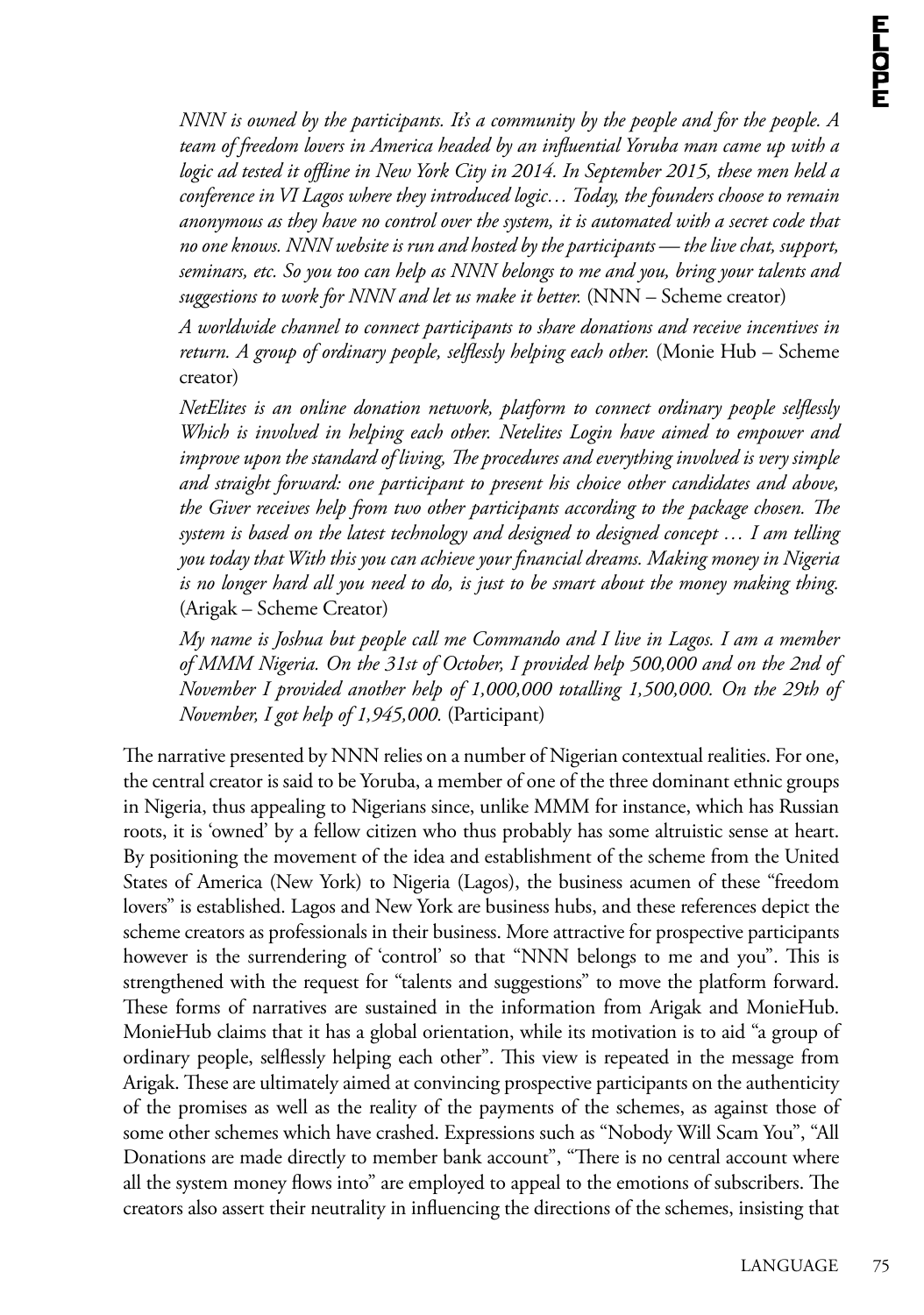*NNN is owned by the participants. It's a community by the people and for the people. A team of freedom lovers in America headed by an influential Yoruba man came up with a logic ad tested it offline in New York City in 2014. In September 2015, these men held a conference in VI Lagos where they introduced logic… Today, the founders choose to remain anonymous as they have no control over the system, it is automated with a secret code that no one knows. NNN website is run and hosted by the participants — the live chat, support, seminars, etc. So you too can help as NNN belongs to me and you, bring your talents and suggestions to work for NNN and let us make it better.* (NNN – Scheme creator)

*A worldwide channel to connect participants to share donations and receive incentives in return. A group of ordinary people, selflessly helping each other.* (Monie Hub – Scheme creator)

*NetElites is an online donation network, platform to connect ordinary people selflessly Which is involved in helping each other. Netelites Login have aimed to empower and improve upon the standard of living, The procedures and everything involved is very simple and straight forward: one participant to present his choice other candidates and above, the Giver receives help from two other participants according to the package chosen. The system is based on the latest technology and designed to designed concept … I am telling you today that With this you can achieve your financial dreams. Making money in Nigeria is no longer hard all you need to do, is just to be smart about the money making thing.* (Arigak – Scheme Creator)

*My name is Joshua but people call me Commando and I live in Lagos. I am a member of MMM Nigeria. On the 31st of October, I provided help 500,000 and on the 2nd of November I provided another help of 1,000,000 totalling 1,500,000. On the 29th of November, I got help of 1,945,000.* (Participant)

The narrative presented by NNN relies on a number of Nigerian contextual realities. For one, the central creator is said to be Yoruba, a member of one of the three dominant ethnic groups in Nigeria, thus appealing to Nigerians since, unlike MMM for instance, which has Russian roots, it is 'owned' by a fellow citizen who thus probably has some altruistic sense at heart. By positioning the movement of the idea and establishment of the scheme from the United States of America (New York) to Nigeria (Lagos), the business acumen of these "freedom lovers" is established. Lagos and New York are business hubs, and these references depict the scheme creators as professionals in their business. More attractive for prospective participants however is the surrendering of 'control' so that "NNN belongs to me and you". This is strengthened with the request for "talents and suggestions" to move the platform forward. These forms of narratives are sustained in the information from Arigak and MonieHub. MonieHub claims that it has a global orientation, while its motivation is to aid "a group of ordinary people, selflessly helping each other". This view is repeated in the message from Arigak. These are ultimately aimed at convincing prospective participants on the authenticity of the promises as well as the reality of the payments of the schemes, as against those of some other schemes which have crashed. Expressions such as "Nobody Will Scam You", "All Donations are made directly to member bank account", "There is no central account where all the system money flows into" are employed to appeal to the emotions of subscribers. The creators also assert their neutrality in influencing the directions of the schemes, insisting that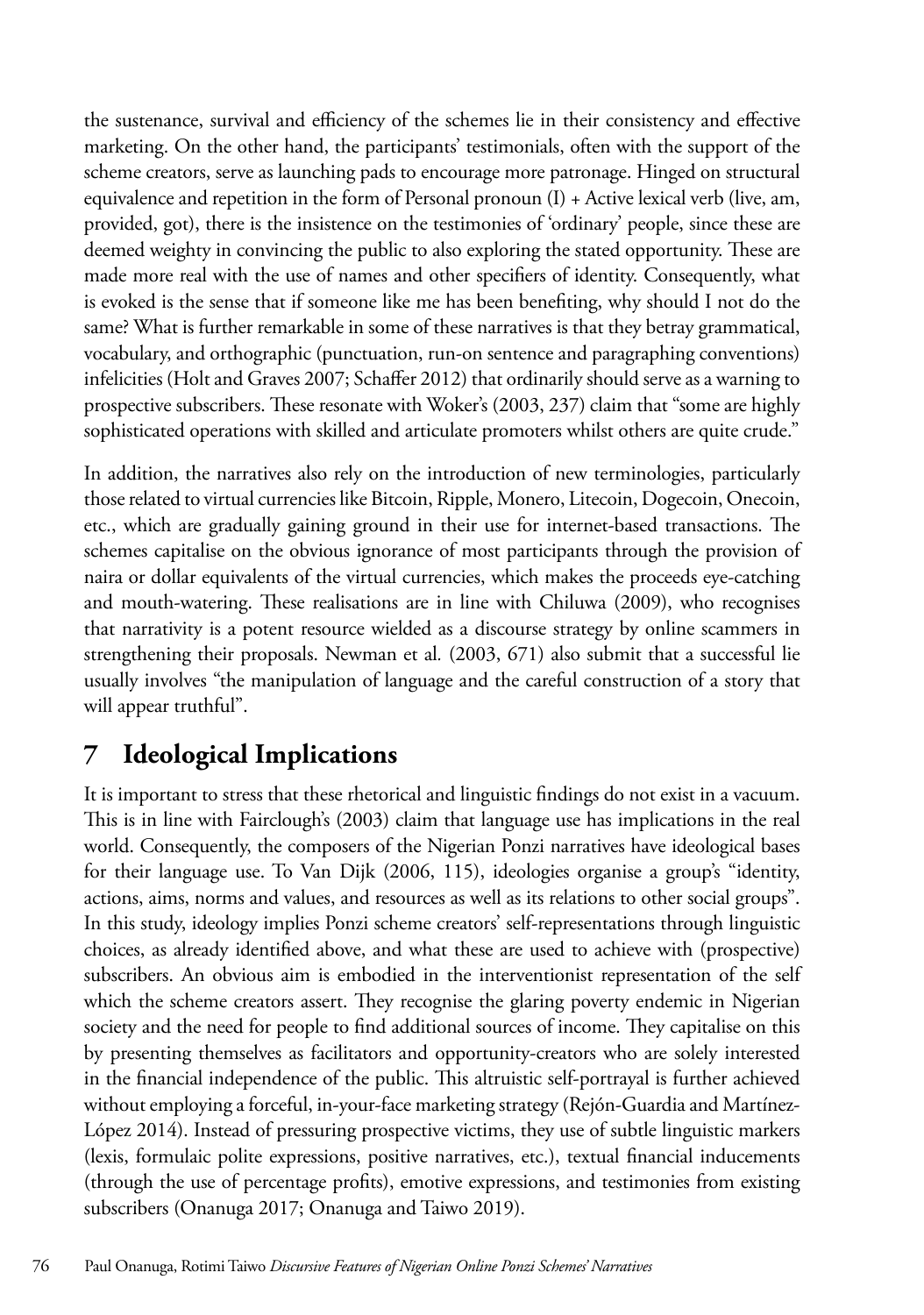the sustenance, survival and efficiency of the schemes lie in their consistency and effective marketing. On the other hand, the participants' testimonials, often with the support of the scheme creators, serve as launching pads to encourage more patronage. Hinged on structural equivalence and repetition in the form of Personal pronoun (I) + Active lexical verb (live, am, provided, got), there is the insistence on the testimonies of 'ordinary' people, since these are deemed weighty in convincing the public to also exploring the stated opportunity. These are made more real with the use of names and other specifiers of identity. Consequently, what is evoked is the sense that if someone like me has been benefiting, why should I not do the same? What is further remarkable in some of these narratives is that they betray grammatical, vocabulary, and orthographic (punctuation, run-on sentence and paragraphing conventions) infelicities (Holt and Graves 2007; Schaffer 2012) that ordinarily should serve as a warning to prospective subscribers. These resonate with Woker's (2003, 237) claim that "some are highly sophisticated operations with skilled and articulate promoters whilst others are quite crude."

In addition, the narratives also rely on the introduction of new terminologies, particularly those related to virtual currencies like Bitcoin, Ripple, Monero, Litecoin, Dogecoin, Onecoin, etc., which are gradually gaining ground in their use for internet-based transactions. The schemes capitalise on the obvious ignorance of most participants through the provision of naira or dollar equivalents of the virtual currencies, which makes the proceeds eye-catching and mouth-watering. These realisations are in line with Chiluwa (2009), who recognises that narrativity is a potent resource wielded as a discourse strategy by online scammers in strengthening their proposals. Newman et al*.* (2003, 671) also submit that a successful lie usually involves "the manipulation of language and the careful construction of a story that will appear truthful".

## **7 Ideological Implications**

It is important to stress that these rhetorical and linguistic findings do not exist in a vacuum. This is in line with Fairclough's (2003) claim that language use has implications in the real world. Consequently, the composers of the Nigerian Ponzi narratives have ideological bases for their language use. To Van Dijk (2006, 115), ideologies organise a group's "identity, actions, aims, norms and values, and resources as well as its relations to other social groups". In this study, ideology implies Ponzi scheme creators' self-representations through linguistic choices, as already identified above, and what these are used to achieve with (prospective) subscribers. An obvious aim is embodied in the interventionist representation of the self which the scheme creators assert. They recognise the glaring poverty endemic in Nigerian society and the need for people to find additional sources of income. They capitalise on this by presenting themselves as facilitators and opportunity-creators who are solely interested in the financial independence of the public. This altruistic self-portrayal is further achieved without employing a forceful, in-your-face marketing strategy (Rejón-Guardia and Martínez-López 2014). Instead of pressuring prospective victims, they use of subtle linguistic markers (lexis, formulaic polite expressions, positive narratives, etc.), textual financial inducements (through the use of percentage profits), emotive expressions, and testimonies from existing subscribers (Onanuga 2017; Onanuga and Taiwo 2019).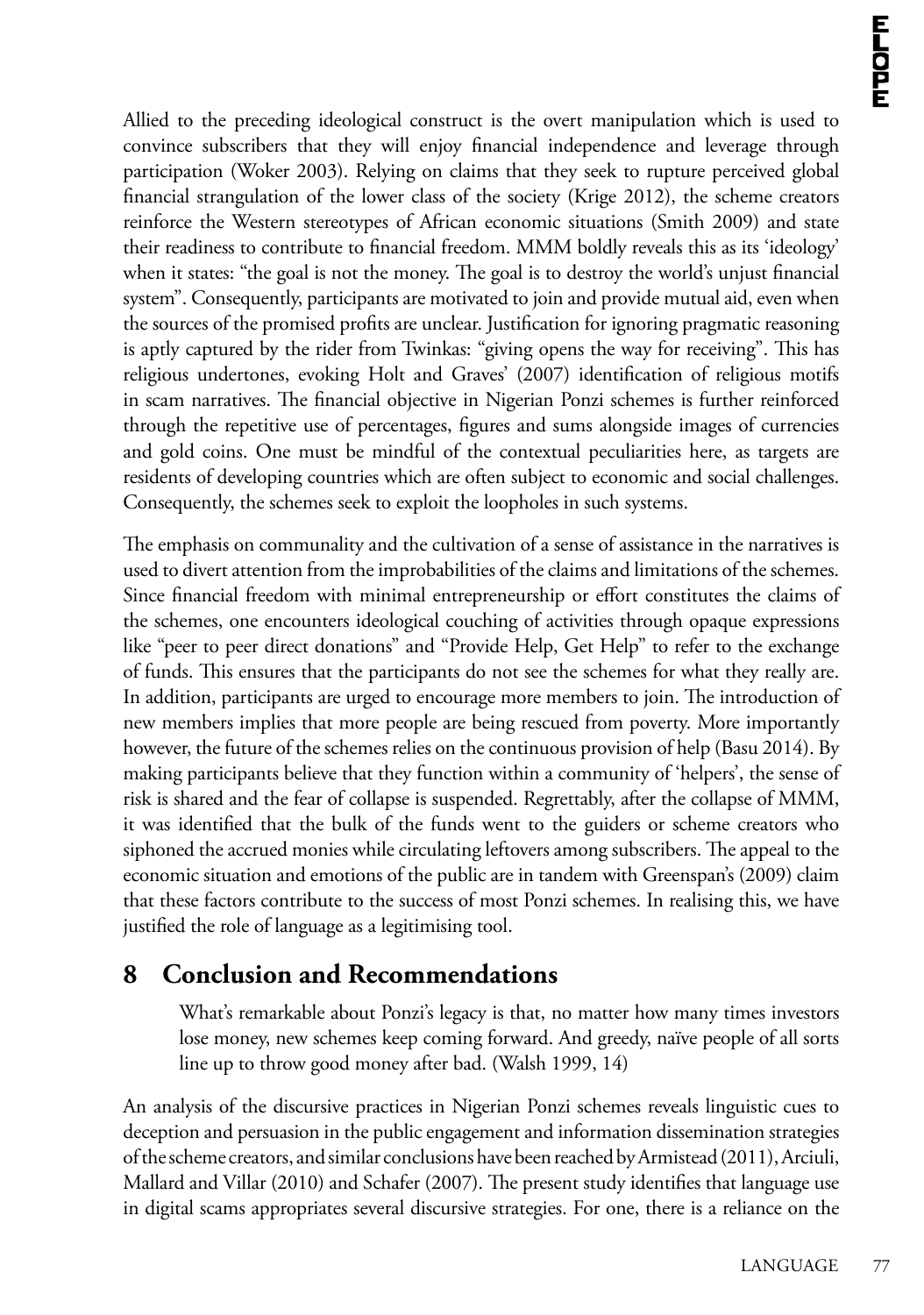Allied to the preceding ideological construct is the overt manipulation which is used to convince subscribers that they will enjoy financial independence and leverage through participation (Woker 2003). Relying on claims that they seek to rupture perceived global financial strangulation of the lower class of the society (Krige 2012), the scheme creators reinforce the Western stereotypes of African economic situations (Smith 2009) and state their readiness to contribute to financial freedom. MMM boldly reveals this as its 'ideology' when it states: "the goal is not the money. The goal is to destroy the world's unjust financial system". Consequently, participants are motivated to join and provide mutual aid, even when the sources of the promised profits are unclear. Justification for ignoring pragmatic reasoning is aptly captured by the rider from Twinkas: "giving opens the way for receiving". This has religious undertones, evoking Holt and Graves' (2007) identification of religious motifs in scam narratives. The financial objective in Nigerian Ponzi schemes is further reinforced through the repetitive use of percentages, figures and sums alongside images of currencies and gold coins. One must be mindful of the contextual peculiarities here, as targets are residents of developing countries which are often subject to economic and social challenges. Consequently, the schemes seek to exploit the loopholes in such systems.

The emphasis on communality and the cultivation of a sense of assistance in the narratives is used to divert attention from the improbabilities of the claims and limitations of the schemes. Since financial freedom with minimal entrepreneurship or effort constitutes the claims of the schemes, one encounters ideological couching of activities through opaque expressions like "peer to peer direct donations" and "Provide Help, Get Help" to refer to the exchange of funds. This ensures that the participants do not see the schemes for what they really are. In addition, participants are urged to encourage more members to join. The introduction of new members implies that more people are being rescued from poverty. More importantly however, the future of the schemes relies on the continuous provision of help (Basu 2014). By making participants believe that they function within a community of 'helpers', the sense of risk is shared and the fear of collapse is suspended. Regrettably, after the collapse of MMM, it was identified that the bulk of the funds went to the guiders or scheme creators who siphoned the accrued monies while circulating leftovers among subscribers. The appeal to the economic situation and emotions of the public are in tandem with Greenspan's (2009) claim that these factors contribute to the success of most Ponzi schemes. In realising this, we have justified the role of language as a legitimising tool.

### **8 Conclusion and Recommendations**

What's remarkable about Ponzi's legacy is that, no matter how many times investors lose money, new schemes keep coming forward. And greedy, naïve people of all sorts line up to throw good money after bad. (Walsh 1999, 14)

An analysis of the discursive practices in Nigerian Ponzi schemes reveals linguistic cues to deception and persuasion in the public engagement and information dissemination strategies of the scheme creators, and similar conclusions have been reached by Armistead (2011), Arciuli, Mallard and Villar (2010) and Schafer (2007). The present study identifies that language use in digital scams appropriates several discursive strategies. For one, there is a reliance on the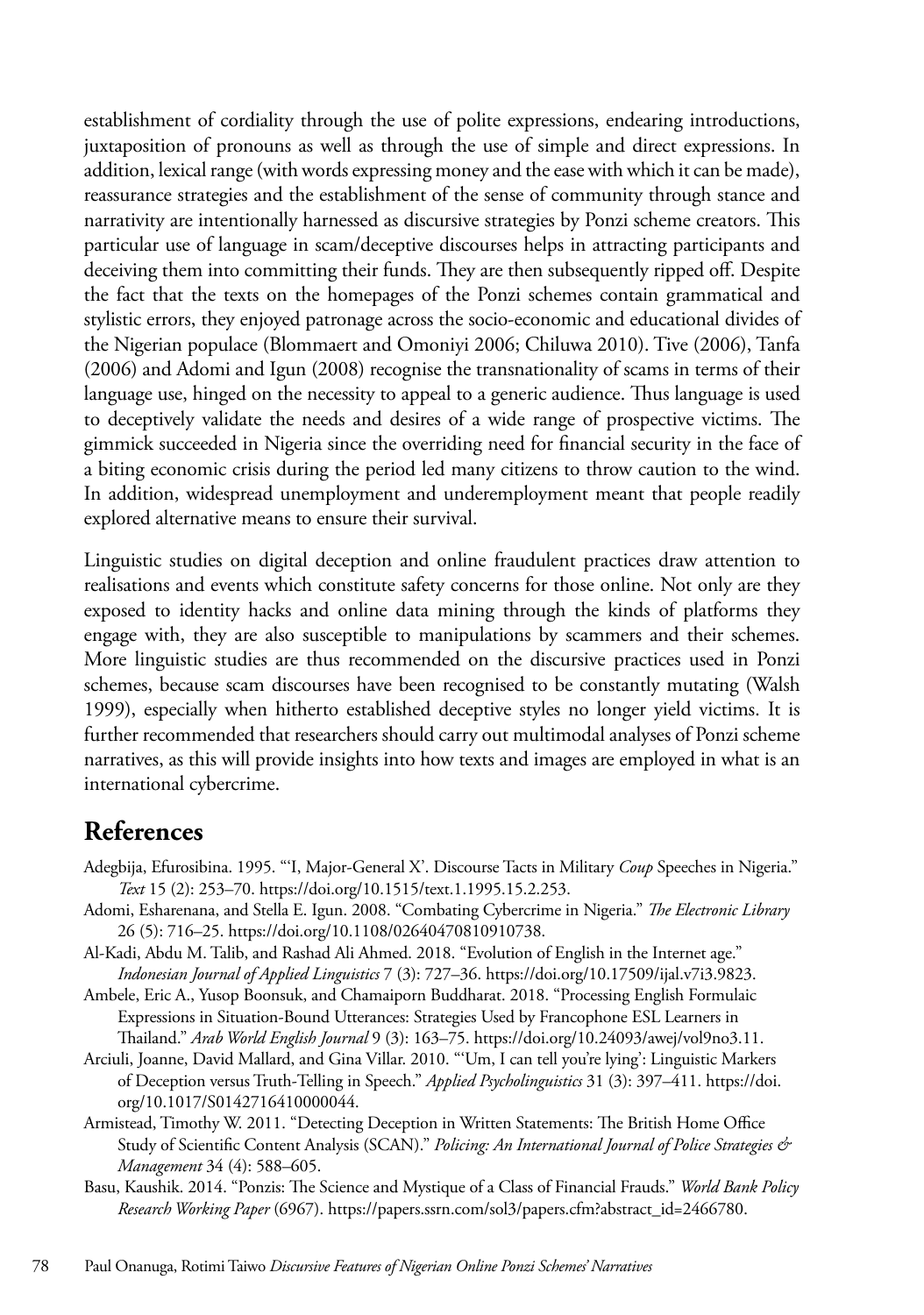establishment of cordiality through the use of polite expressions, endearing introductions, juxtaposition of pronouns as well as through the use of simple and direct expressions. In addition, lexical range (with words expressing money and the ease with which it can be made), reassurance strategies and the establishment of the sense of community through stance and narrativity are intentionally harnessed as discursive strategies by Ponzi scheme creators. This particular use of language in scam/deceptive discourses helps in attracting participants and deceiving them into committing their funds. They are then subsequently ripped off. Despite the fact that the texts on the homepages of the Ponzi schemes contain grammatical and stylistic errors, they enjoyed patronage across the socio-economic and educational divides of the Nigerian populace (Blommaert and Omoniyi 2006; Chiluwa 2010). Tive (2006), Tanfa (2006) and Adomi and Igun (2008) recognise the transnationality of scams in terms of their language use, hinged on the necessity to appeal to a generic audience. Thus language is used to deceptively validate the needs and desires of a wide range of prospective victims. The gimmick succeeded in Nigeria since the overriding need for financial security in the face of a biting economic crisis during the period led many citizens to throw caution to the wind. In addition, widespread unemployment and underemployment meant that people readily explored alternative means to ensure their survival.

Linguistic studies on digital deception and online fraudulent practices draw attention to realisations and events which constitute safety concerns for those online. Not only are they exposed to identity hacks and online data mining through the kinds of platforms they engage with, they are also susceptible to manipulations by scammers and their schemes. More linguistic studies are thus recommended on the discursive practices used in Ponzi schemes, because scam discourses have been recognised to be constantly mutating (Walsh 1999), especially when hitherto established deceptive styles no longer yield victims. It is further recommended that researchers should carry out multimodal analyses of Ponzi scheme narratives, as this will provide insights into how texts and images are employed in what is an international cybercrime.

### **References**

- Adegbija, Efurosibina. 1995. "'I, Major-General X'. Discourse Tacts in Military *Coup* Speeches in Nigeria." *Text* 15 (2): 253–70. https://doi.org/10.1515/text.1.1995.15.2.253.
- Adomi, Esharenana, and Stella E. Igun. 2008. "Combating Cybercrime in Nigeria." *The Electronic Library* 26 (5): 716–25. https://doi.org/10.1108/02640470810910738.
- Al-Kadi, Abdu M. Talib, and Rashad Ali Ahmed. 2018. "Evolution of English in the Internet age." *Indonesian Journal of Applied Linguistics* 7 (3): 727–36. https://doi.org/10.17509/ijal.v7i3.9823.
- Ambele, Eric A., Yusop Boonsuk, and Chamaiporn Buddharat. 2018. "Processing English Formulaic Expressions in Situation-Bound Utterances: Strategies Used by Francophone ESL Learners in Thailand." *Arab World English Journal* 9 (3): 163–75. https://doi.org/10.24093/awej/vol9no3.11.
- Arciuli, Joanne, David Mallard, and Gina Villar. 2010. "'Um, I can tell you're lying': Linguistic Markers of Deception versus Truth-Telling in Speech." *Applied Psycholinguistics* 31 (3): 397–411. https://doi. org/10.1017/S0142716410000044.
- Armistead, Timothy W. 2011. "Detecting Deception in Written Statements: The British Home Office Study of Scientific Content Analysis (SCAN)." *Policing: An International Journal of Police Strategies & Management* 34 (4): 588–605.
- Basu, Kaushik. 2014. "Ponzis: The Science and Mystique of a Class of Financial Frauds." *World Bank Policy Research Working Paper* (6967). https://papers.ssrn.com/sol3/papers.cfm?abstract\_id=2466780.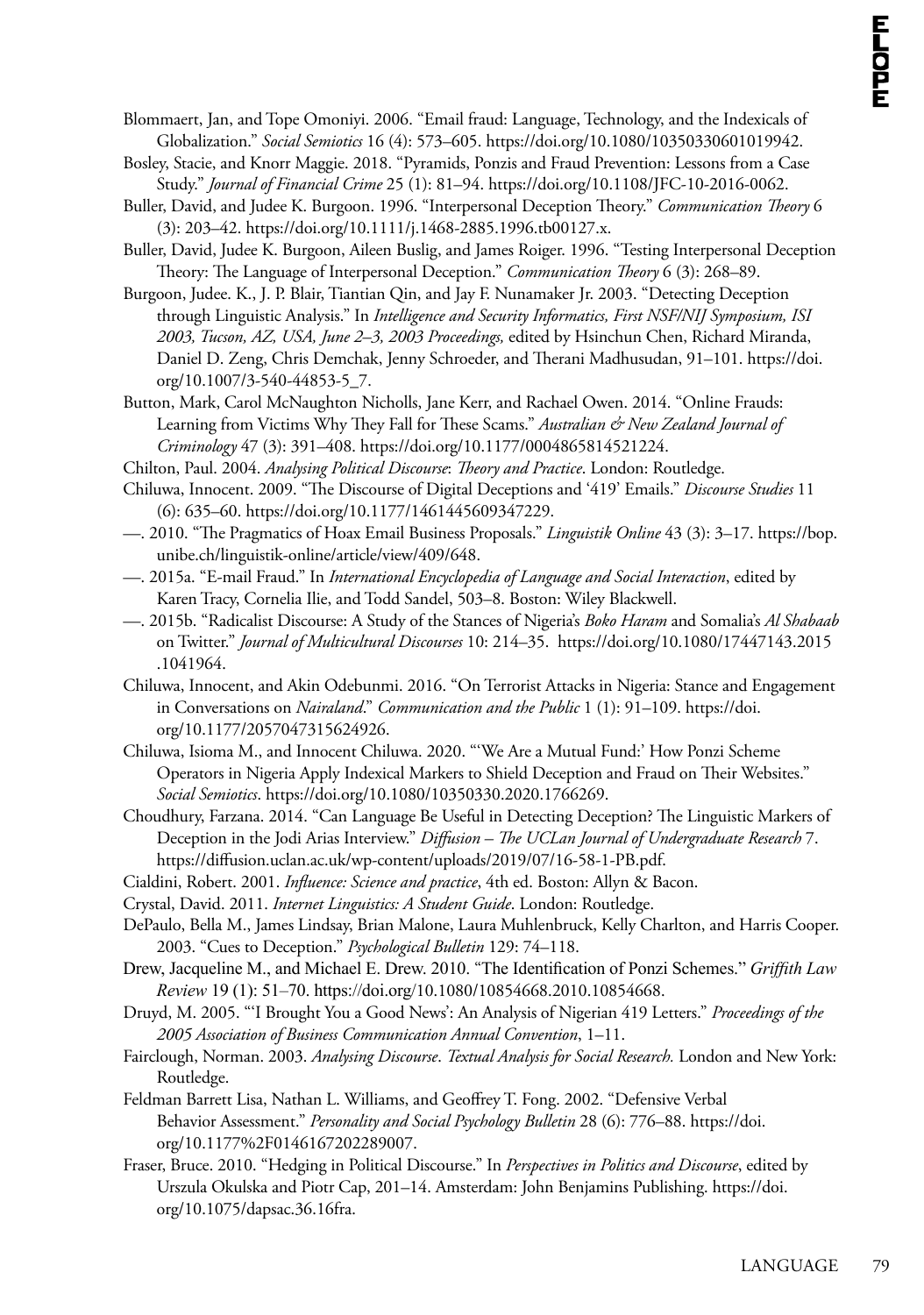- Blommaert, Jan, and Tope Omoniyi. 2006. "Email fraud: Language, Technology, and the Indexicals of Globalization." *Social Semiotics* 16 (4): 573–605. https://doi.org/10.1080/10350330601019942.
- Bosley, Stacie, and Knorr Maggie. 2018. "Pyramids, Ponzis and Fraud Prevention: Lessons from a Case Study." *Journal of Financial Crime* 25 (1): 81–94. https://doi.org/10.1108/JFC-10-2016-0062.
- Buller, David, and Judee K. Burgoon. 1996. "Interpersonal Deception Theory." *Communication Theory* 6 (3): 203–42. https://doi.org/10.1111/j.1468-2885.1996.tb00127.x.
- Buller, David, Judee K. Burgoon, Aileen Buslig, and James Roiger. 1996. "Testing Interpersonal Deception Theory: The Language of Interpersonal Deception." *Communication Theory* 6 (3): 268–89.
- Burgoon, Judee. K., J. P. Blair, Tiantian Qin, and Jay F. Nunamaker Jr. 2003. "Detecting Deception through Linguistic Analysis." In *Intelligence and Security Informatics, First NSF/NIJ Symposium, ISI 2003, Tucson, AZ, USA, June 2–3, 2003 Proceedings,* edited by Hsinchun Chen, Richard Miranda, Daniel D. Zeng, Chris Demchak, Jenny Schroeder, and Therani Madhusudan, 91–101. https://doi. org/10.1007/3-540-44853-5\_7.
- Button, Mark, Carol McNaughton Nicholls, Jane Kerr, and Rachael Owen. 2014. "Online Frauds: Learning from Victims Why They Fall for These Scams." *Australian & New Zealand Journal of Criminology* 47 (3): 391–408. https://doi.org/10.1177/0004865814521224.
- Chilton, Paul. 2004. *Analysing Political Discourse*: *Theory and Practice*. London: Routledge.
- Chiluwa, Innocent. 2009. "The Discourse of Digital Deceptions and '419' Emails." *Discourse Studies* 11 (6): 635–60. https://doi.org/10.1177/1461445609347229.
- —. 2010. "The Pragmatics of Hoax Email Business Proposals." *Linguistik Online* 43 (3): 3–17. https://bop. unibe.ch/linguistik-online/article/view/409/648.
- —. 2015a. "E-mail Fraud." In *International Encyclopedia of Language and Social Interaction*, edited by Karen Tracy, Cornelia Ilie, and Todd Sandel, 503–8. Boston: Wiley Blackwell.
- —. 2015b. "Radicalist Discourse: A Study of the Stances of Nigeria's *Boko Haram* and Somalia's *Al Shabaab* on Twitter." *Journal of Multicultural Discourses* 10: 214–35. https://doi.org/10.1080/17447143.2015 .1041964.
- Chiluwa, Innocent, and Akin Odebunmi. 2016. "On Terrorist Attacks in Nigeria: Stance and Engagement in Conversations on *Nairaland*." *Communication and the Public* 1 (1): 91–109. https://doi. org/10.1177/2057047315624926.
- Chiluwa, Isioma M., and Innocent Chiluwa. 2020. "'We Are a Mutual Fund:' How Ponzi Scheme Operators in Nigeria Apply Indexical Markers to Shield Deception and Fraud on Their Websites." *Social Semiotics*. https://doi.org/10.1080/10350330.2020.1766269.
- Choudhury, Farzana. 2014. "Can Language Be Useful in Detecting Deception? The Linguistic Markers of Deception in the Jodi Arias Interview." *Diffusion – The UCLan Journal of Undergraduate Research* 7. https://diffusion.uclan.ac.uk/wp-content/uploads/2019/07/16-58-1-PB.pdf.
- Cialdini, Robert. 2001. *Influence: Science and practice*, 4th ed. Boston: Allyn & Bacon.
- Crystal, David. 2011. *Internet Linguistics: A Student Guide*. London: Routledge.
- DePaulo, Bella M., James Lindsay, Brian Malone, Laura Muhlenbruck, Kelly Charlton, and Harris Cooper. 2003. "Cues to Deception." *Psychological Bulletin* 129: 74–118.
- Drew, Jacqueline M., and Michael E. Drew. 2010. "The Identification of Ponzi Schemes." *Griffith Law Review* 19 (1): 51–70. https://doi.org/[10.1080/10854668.2010.10854668.](https://doi.org/10.1080/10854668.2010.10854668)
- Druyd, M. 2005. "'I Brought You a Good News': An Analysis of Nigerian 419 Letters." *Proceedings of the 2005 Association of Business Communication Annual Convention*, 1–11.
- Fairclough, Norman. 2003. *Analysing Discourse*. *Textual Analysis for Social Research.* London and New York: Routledge.
- Feldman Barrett Lisa, Nathan L. Williams, and Geoffrey T. Fong. 2002. "Defensive Verbal Behavior Assessment." *Personality and Social Psychology Bulletin* 28 (6): 776–88. https://doi. org/10.1177%2F0146167202289007.
- Fraser, Bruce. 2010. "Hedging in Political Discourse." In *Perspectives in Politics and Discourse*, edited by Urszula Okulska and Piotr Cap, 201–14. Amsterdam: John Benjamins Publishing. https://doi. org/10.1075/dapsac.36.16fra.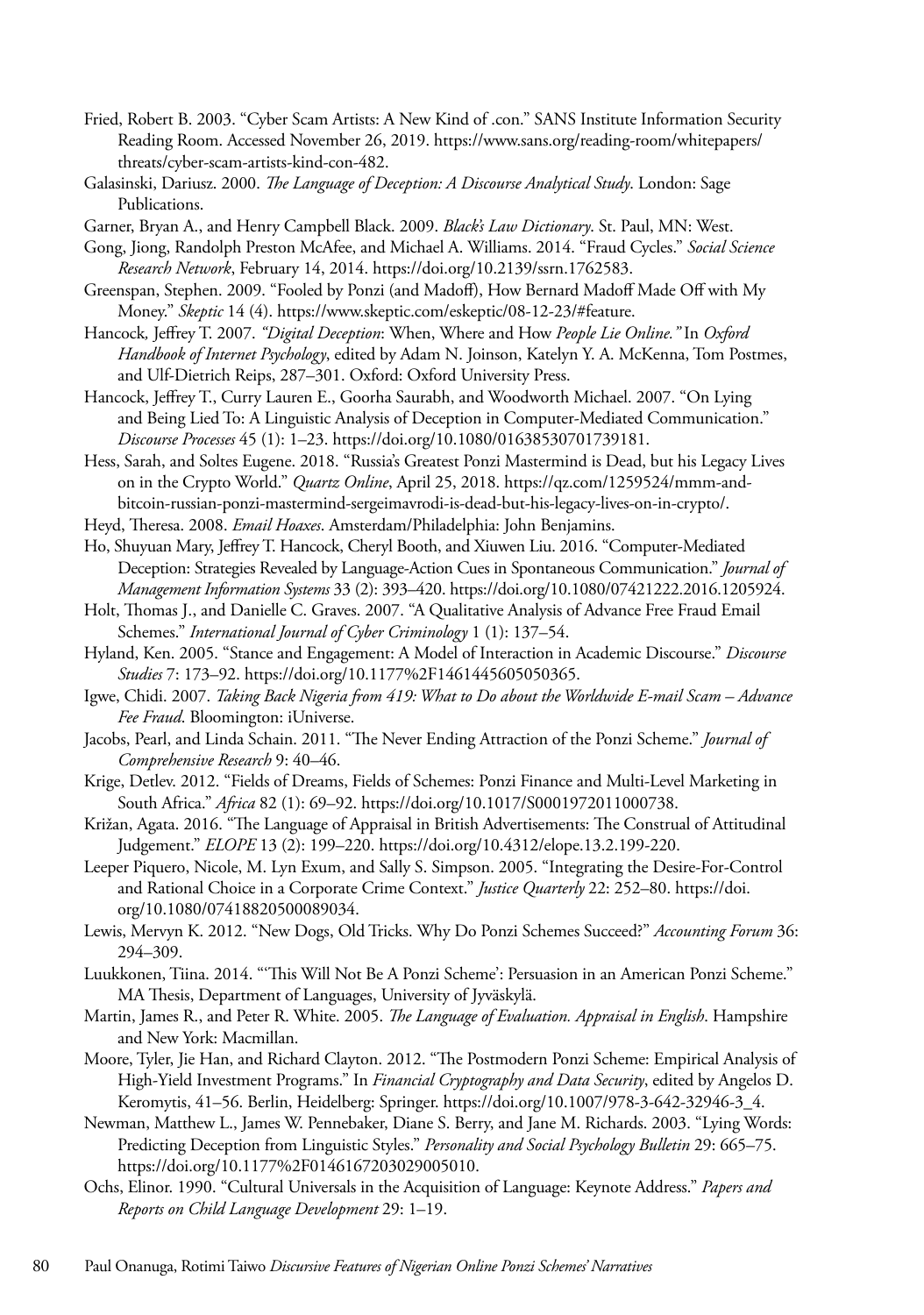- Fried, Robert B. 2003. "Cyber Scam Artists: A New Kind of .con." SANS Institute Information Security Reading Room. Accessed November 26, 2019. https://www.sans.org/reading-room/whitepapers/ threats/cyber-scam-artists-kind-con-482.
- Galasinski, Dariusz. 2000. *The Language of Deception: A Discourse Analytical Study*. London: Sage Publications.

Garner, Bryan A., and Henry Campbell Black. 2009. *Black's Law Dictionary*. St. Paul, MN: West.

- Gong, Jiong, Randolph Preston McAfee, and Michael A. Williams. 2014. "Fraud Cycles." *Social Science Research Network*, February 14, 2014. https://doi.org/10.2139/ssrn.1762583.
- Greenspan, Stephen. 2009. "Fooled by Ponzi (and Madoff), How Bernard Madoff Made Off with My Money." *Skeptic* 14 (4). https://www.skeptic.com/eskeptic/08-12-23/#feature.
- Hancock*,* Jeffrey T. 2007. *"Digital Deception*: When, Where and How *People Lie Online."* In *Oxford Handbook of Internet Psychology*, edited by Adam N. Joinson, Katelyn Y. A. McKenna, Tom Postmes, and Ulf-Dietrich Reips, 287–301. Oxford: Oxford University Press.
- Hancock, Jeffrey T., Curry Lauren E., Goorha Saurabh, and Woodworth Michael. 2007. "On Lying and Being Lied To: A Linguistic Analysis of Deception in Computer-Mediated Communication." *Discourse Processes* 45 (1): 1–23. https://doi.org/10.1080/01638530701739181.
- Hess, Sarah, and Soltes Eugene. 2018. "Russia's Greatest Ponzi Mastermind is Dead, but his Legacy Lives on in the Crypto World." *Quartz Online*, April 25, 2018. https://qz.com/1259524/mmm-andbitcoin-russian-ponzi-mastermind-sergeimavrodi-is-dead-but-his-legacy-lives-on-in-crypto/.
- Heyd, Theresa. 2008. *Email Hoaxes*. Amsterdam/Philadelphia: John Benjamins.
- Ho, Shuyuan Mary, Jeffrey T. Hancock, Cheryl Booth, and Xiuwen Liu. 2016. "Computer-Mediated Deception: Strategies Revealed by Language-Action Cues in Spontaneous Communication." *Journal of Management Information Systems* 33 (2): 393–420. https://doi.org/10.1080/07421222.2016.1205924.
- Holt, Thomas J., and Danielle C. Graves. 2007. "A Qualitative Analysis of Advance Free Fraud Email Schemes." *International Journal of Cyber Criminology* 1 (1): 137–54.
- Hyland, Ken. 2005. "Stance and Engagement: A Model of Interaction in Academic Discourse." *Discourse Studies* 7: 173–92. https://doi.org/10.1177%2F1461445605050365.
- Igwe, Chidi. 2007. *Taking Back Nigeria from 419: What to Do about the Worldwide E-mail Scam Advance Fee Fraud*. Bloomington: iUniverse.
- Jacobs, Pearl, and Linda Schain. 2011. "The Never Ending Attraction of the Ponzi Scheme." *Journal of Comprehensive Research* 9: 40–46.
- Krige, Detlev. 2012. "Fields of Dreams, Fields of Schemes: Ponzi Finance and Multi-Level Marketing in South Africa." *Africa* 82 (1): 69–92. https://doi.org/10.1017/S0001972011000738.
- Križan, Agata. 2016. "The Language of Appraisal in British Advertisements: The Construal of Attitudinal Judgement." *ELOPE* 13 (2): 199–220. https://doi.org/10.4312/elope.13.2.199-220.
- Leeper Piquero, Nicole, M. Lyn Exum, and Sally S. Simpson. 2005. "Integrating the Desire-For-Control and Rational Choice in a Corporate Crime Context." *Justice Quarterly* 22: 252–80. https://doi. org/10.1080/07418820500089034.
- Lewis, Mervyn K. 2012. "New Dogs, Old Tricks. Why Do Ponzi Schemes Succeed?" *Accounting Forum* 36: 294–309.
- Luukkonen, Tiina. 2014. "'This Will Not Be A Ponzi Scheme': Persuasion in an American Ponzi Scheme." MA Thesis, Department of Languages, University of Jyväskylä.
- Martin, James R., and Peter R. White. 2005. *The Language of Evaluation. Appraisal in English*. Hampshire and New York: Macmillan.
- Moore, Tyler, Jie Han, and Richard Clayton. 2012. "The Postmodern Ponzi Scheme: Empirical Analysis of High-Yield Investment Programs." In *Financial Cryptography and Data Security*, edited by Angelos D. Keromytis, 41–56. Berlin, Heidelberg: Springer. https://doi.org/10.1007/978-3-642-32946-3\_4.
- Newman, Matthew L., James W. Pennebaker, Diane S. Berry, and Jane M. Richards. 2003. "Lying Words: Predicting Deception from Linguistic Styles." *Personality and Social Psychology Bulletin* 29: 665–75. https://doi.org/10.1177%2F0146167203029005010.
- Ochs, Elinor. 1990. "Cultural Universals in the Acquisition of Language: Keynote Address." *Papers and Reports on Child Language Development* 29: 1–19.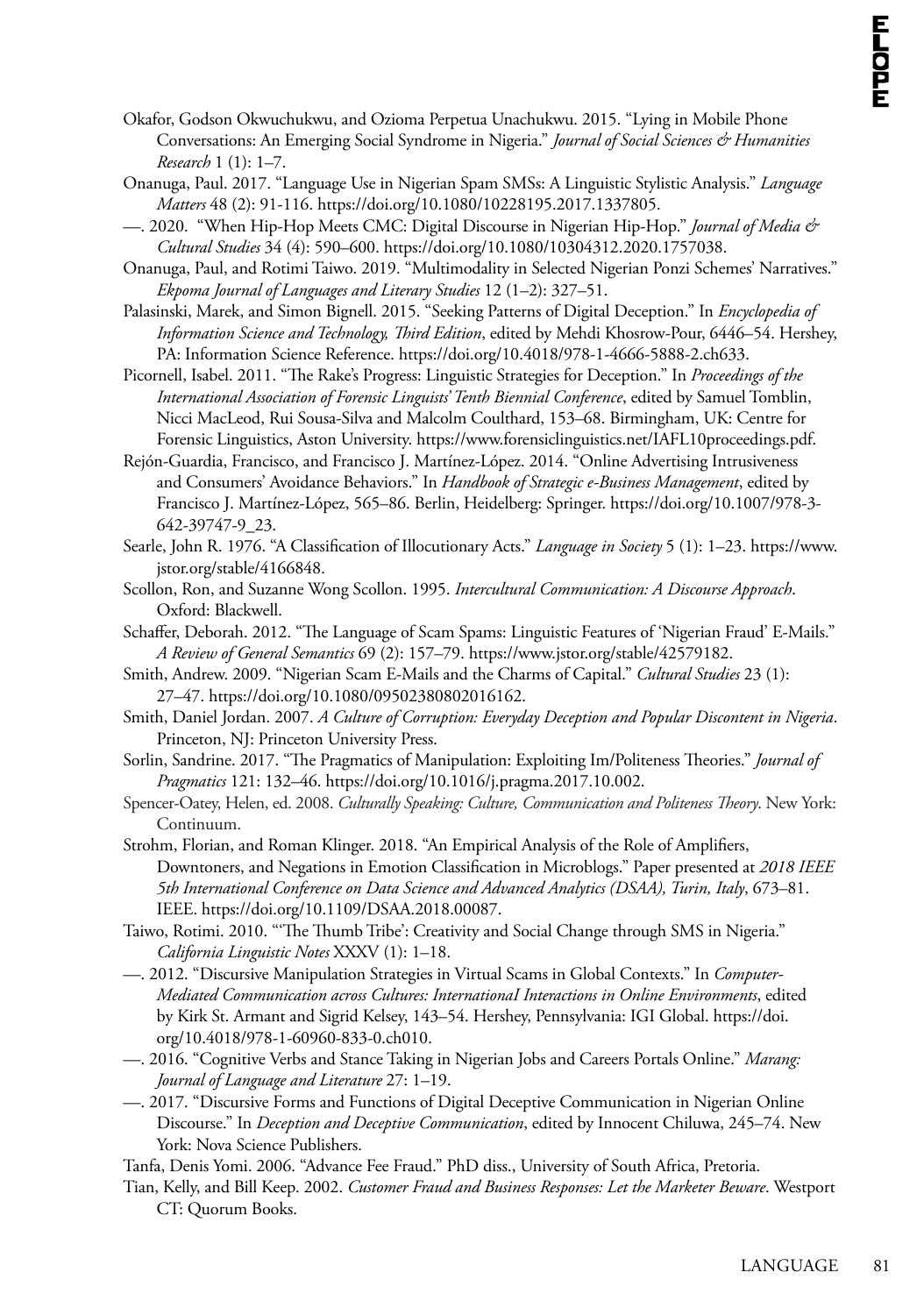- Okafor, Godson Okwuchukwu, and Ozioma Perpetua Unachukwu. 2015. "Lying in Mobile Phone Conversations: An Emerging Social Syndrome in Nigeria." *Journal of Social Sciences & Humanities Research* 1 (1): 1–7.
- Onanuga, Paul. 2017. "Language Use in Nigerian Spam SMSs: A Linguistic Stylistic Analysis." *Language Matters* 48 (2): 91-116. https://doi.org/10.1080/10228195.2017.1337805.
- —. 2020. "When Hip-Hop Meets CMC: Digital Discourse in Nigerian Hip-Hop." *Journal of Media & Cultural Studies* 34 (4): 590–600. https://doi.org/10.1080/10304312.2020.1757038.
- Onanuga, Paul, and Rotimi Taiwo. 2019. "Multimodality in Selected Nigerian Ponzi Schemes' Narratives." *Ekpoma Journal of Languages and Literary Studies* 12 (1–2): 327–51.
- Palasinski, Marek, and Simon Bignell. 2015. "Seeking Patterns of Digital Deception." In *Encyclopedia of Information Science and Technology, Third Edition*, edited by Mehdi Khosrow-Pour, 6446–54. Hershey, PA: Information Science Reference. https://doi.org/10.4018/978-1-4666-5888-2.ch633.
- Picornell, Isabel. 2011. "The Rake's Progress: Linguistic Strategies for Deception." In *Proceedings of the International Association of Forensic Linguists' Tenth Biennial Conference*, edited by Samuel Tomblin, Nicci MacLeod, Rui Sousa-Silva and Malcolm Coulthard, 153–68. Birmingham, UK: Centre for Forensic Linguistics, Aston University. https://www.forensiclinguistics.net/IAFL10proceedings.pdf.
- Rejón-Guardia, Francisco, and Francisco J. Martínez-López. 2014. "Online Advertising Intrusiveness and Consumers' Avoidance Behaviors." In *Handbook of Strategic e-Business Management*, edited by Francisco J. Martínez-López, 565–86. Berlin, Heidelberg: Springer. https://doi.org/10.1007/978-3- 642-39747-9\_23.
- Searle, John R. 1976. "A Classification of Illocutionary Acts." *Language in Society* 5 (1): 1–23. https://www. jstor.org/stable/4166848.
- Scollon, Ron, and Suzanne Wong Scollon. 1995. *Intercultural Communication: A Discourse Approach*. Oxford: Blackwell.
- Schaffer, Deborah. 2012. "The Language of Scam Spams: Linguistic Features of 'Nigerian Fraud' E-Mails." *A Review of General Semantics* 69 (2): 157–79. https://www.jstor.org/stable/42579182.
- Smith, Andrew. 2009. "Nigerian Scam E-Mails and the Charms of Capital." *Cultural Studies* 23 (1): 27–47. https://doi.org/10.1080/09502380802016162.
- Smith, Daniel Jordan. 2007. *A Culture of Corruption: Everyday Deception and Popular Discontent in Nigeria*. Princeton, NJ: Princeton University Press.
- Sorlin, Sandrine. 2017. "The Pragmatics of Manipulation: Exploiting Im/Politeness Theories." *Journal of Pragmatics* 121: 132–46. https://doi.org/10.1016/j.pragma.2017.10.002.
- Spencer-Oatey, Helen, ed. 2008. *Culturally Speaking: Culture, Communication and Politeness Theory*. New York: Continuum.
- Strohm, Florian, and Roman Klinger. 2018. "An Empirical Analysis of the Role of Amplifiers, Downtoners, and Negations in Emotion Classification in Microblogs." Paper presented at *2018 IEEE 5th International Conference on Data Science and Advanced Analytics (DSAA), Turin, Italy*, 673–81. IEEE. https://doi.org/10.1109/DSAA.2018.00087.
- Taiwo, Rotimi. 2010. "'The Thumb Tribe': Creativity and Social Change through SMS in Nigeria." *California Linguistic Notes* XXXV (1): 1–18.
- —. 2012. "Discursive Manipulation Strategies in Virtual Scams in Global Contexts." In *Computer-Mediated Communication across Cultures: InternationaI Interactions in Online Environments*, edited by Kirk St. Armant and Sigrid Kelsey, 143–54. Hershey, Pennsylvania: IGI Global. https://doi. org/10.4018/978-1-60960-833-0.ch010.
- —. 2016. "Cognitive Verbs and Stance Taking in Nigerian Jobs and Careers Portals Online." *Marang: Journal of Language and Literature* 27: 1–19.
- —. 2017. "Discursive Forms and Functions of Digital Deceptive Communication in Nigerian Online Discourse." In *Deception and Deceptive Communication*, edited by Innocent Chiluwa, 245–74. New York: Nova Science Publishers.
- Tanfa, Denis Yomi. 2006. "Advance Fee Fraud." PhD diss., University of South Africa, Pretoria.
- Tian, Kelly, and Bill Keep. 2002. *Customer Fraud and Business Responses: Let the Marketer Beware*. Westport CT: Quorum Books.